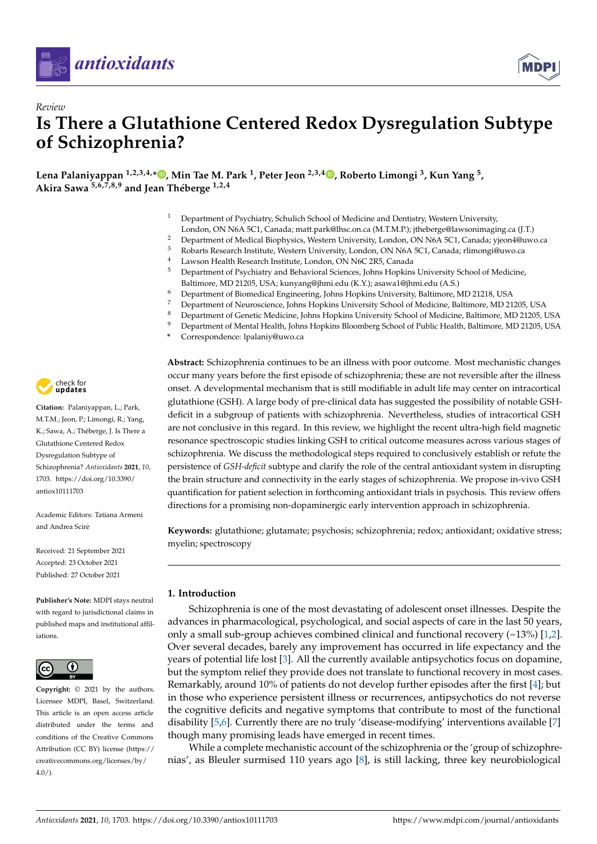

*Review*



# **Is There a Glutathione Centered Redox Dysregulation Subtype of Schizophrenia?**

**Lena Palaniyappan 1,2,3,4,\* [,](https://orcid.org/0000-0003-1640-7182) Min Tae M. Park <sup>1</sup> , Peter Jeon 2,3,4 [,](https://orcid.org/0000-0002-0828-4461) Roberto Limongi <sup>3</sup> , Kun Yang <sup>5</sup> , Akira Sawa 5,6,7,8,9 and Jean Théberge 1,2,4**

- <sup>1</sup> Department of Psychiatry, Schulich School of Medicine and Dentistry, Western University,
- London, ON N6A 5C1, Canada; matt.park@lhsc.on.ca (M.T.M.P.); jtheberge@lawsonimaging.ca (J.T.)
- <sup>2</sup> Department of Medical Biophysics, Western University, London, ON N6A 5C1, Canada; yjeon4@uwo.ca<br><sup>3</sup> Pobarta Besearch Institute Western University London, ON N6A 5C1, Canada; rlimonai@uwo.ca <sup>3</sup> Robarts Research Institute, Western University, London, ON N6A 5C1, Canada; rlimongi@uwo.ca
- 
- 4 Lawson Health Research Institute, London, ON N6C 2R5, Canada<br>5 Department of Psychiatry and Behavioral Sciences, Johns Hopkins <sup>5</sup> Department of Psychiatry and Behavioral Sciences, Johns Hopkins University School of Medicine,
- Baltimore, MD 21205, USA; kunyang@jhmi.edu (K.Y.); asawa1@jhmi.edu (A.S.)
- <sup>6</sup> Department of Biomedical Engineering, Johns Hopkins University, Baltimore, MD 21218, USA
- 7 Department of Neuroscience, Johns Hopkins University School of Medicine, Baltimore, MD 21205, USA<br>8 Department of Canatia Medicine, Johns Hopkins University School of Medicine, Baltimore, MD 21205, U
- <sup>8</sup> Department of Genetic Medicine, Johns Hopkins University School of Medicine, Baltimore, MD 21205, USA <sup>9</sup> Department of Mental Health, Johns Hopkins Bloomberg School of Public Health, Baltimore, MD 21205, USA
- 
- **\*** Correspondence: lpalaniy@uwo.ca

check for **-**

**Citation:** Palaniyappan, L.; Park, M.T.M.; Jeon, P.; Limongi, R.; Yang, K.; Sawa, A.; Théberge, J. Is There a Glutathione Centered Redox Dysregulation Subtype of Schizophrenia? *Antioxidants* **2021**, *10*, 1703. [https://doi.org/10.3390/](https://doi.org/10.3390/antiox10111703) [antiox10111703](https://doi.org/10.3390/antiox10111703)

Academic Editors: Tatiana Armeni and Andrea Scirè

Received: 21 September 2021 Accepted: 23 October 2021 Published: 27 October 2021

**Publisher's Note:** MDPI stays neutral with regard to jurisdictional claims in published maps and institutional affiliations.



**Copyright:** © 2021 by the authors. Licensee MDPI, Basel, Switzerland. This article is an open access article distributed under the terms and conditions of the Creative Commons Attribution (CC BY) license (https:/[/](https://creativecommons.org/licenses/by/4.0/) [creativecommons.org/licenses/by/](https://creativecommons.org/licenses/by/4.0/)  $4.0/$ ).

**Abstract:** Schizophrenia continues to be an illness with poor outcome. Most mechanistic changes occur many years before the first episode of schizophrenia; these are not reversible after the illness onset. A developmental mechanism that is still modifiable in adult life may center on intracortical glutathione (GSH). A large body of pre-clinical data has suggested the possibility of notable GSHdeficit in a subgroup of patients with schizophrenia. Nevertheless, studies of intracortical GSH are not conclusive in this regard. In this review, we highlight the recent ultra-high field magnetic resonance spectroscopic studies linking GSH to critical outcome measures across various stages of schizophrenia. We discuss the methodological steps required to conclusively establish or refute the persistence of *GSH-deficit* subtype and clarify the role of the central antioxidant system in disrupting the brain structure and connectivity in the early stages of schizophrenia. We propose in-vivo GSH quantification for patient selection in forthcoming antioxidant trials in psychosis. This review offers directions for a promising non-dopaminergic early intervention approach in schizophrenia.

**Keywords:** glutathione; glutamate; psychosis; schizophrenia; redox; antioxidant; oxidative stress; myelin; spectroscopy

## **1. Introduction**

Schizophrenia is one of the most devastating of adolescent onset illnesses. Despite the advances in pharmacological, psychological, and social aspects of care in the last 50 years, only a small sub-group achieves combined clinical and functional recovery  $(\sim 13\%)$  [\[1,](#page-10-0)[2\]](#page-10-1). Over several decades, barely any improvement has occurred in life expectancy and the years of potential life lost [\[3\]](#page-10-2). All the currently available antipsychotics focus on dopamine, but the symptom relief they provide does not translate to functional recovery in most cases. Remarkably, around 10% of patients do not develop further episodes after the first [\[4\]](#page-10-3); but in those who experience persistent illness or recurrences, antipsychotics do not reverse the cognitive deficits and negative symptoms that contribute to most of the functional disability [\[5,](#page-10-4)[6\]](#page-10-5). Currently there are no truly 'disease-modifying' interventions available [\[7\]](#page-10-6) though many promising leads have emerged in recent times.

While a complete mechanistic account of the schizophrenia or the 'group of schizophrenias', as Bleuler surmised 110 years ago [\[8\]](#page-10-7), is still lacking, three key neurobiological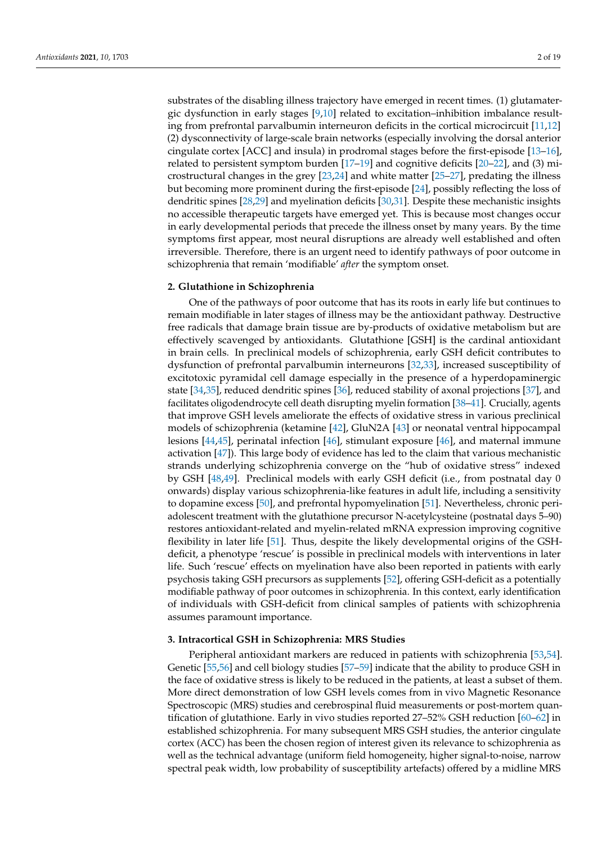substrates of the disabling illness trajectory have emerged in recent times. (1) glutamatergic dysfunction in early stages [\[9,](#page-10-8)[10\]](#page-10-9) related to excitation–inhibition imbalance resulting from prefrontal parvalbumin interneuron deficits in the cortical microcircuit [\[11](#page-10-10)[,12\]](#page-10-11) (2) dysconnectivity of large-scale brain networks (especially involving the dorsal anterior cingulate cortex [ACC] and insula) in prodromal stages before the first-episode [\[13–](#page-10-12)[16\]](#page-10-13), related to persistent symptom burden [\[17–](#page-10-14)[19\]](#page-11-0) and cognitive deficits [\[20](#page-11-1)[–22\]](#page-11-2), and (3) microstructural changes in the grey [\[23,](#page-11-3)[24\]](#page-11-4) and white matter [\[25–](#page-11-5)[27\]](#page-11-6), predating the illness but becoming more prominent during the first-episode [\[24\]](#page-11-4), possibly reflecting the loss of dendritic spines [\[28,](#page-11-7)[29\]](#page-11-8) and myelination deficits [\[30](#page-11-9)[,31\]](#page-11-10). Despite these mechanistic insights no accessible therapeutic targets have emerged yet. This is because most changes occur in early developmental periods that precede the illness onset by many years. By the time symptoms first appear, most neural disruptions are already well established and often irreversible. Therefore, there is an urgent need to identify pathways of poor outcome in schizophrenia that remain 'modifiable' *after* the symptom onset.

#### **2. Glutathione in Schizophrenia**

One of the pathways of poor outcome that has its roots in early life but continues to remain modifiable in later stages of illness may be the antioxidant pathway. Destructive free radicals that damage brain tissue are by-products of oxidative metabolism but are effectively scavenged by antioxidants. Glutathione [GSH] is the cardinal antioxidant in brain cells. In preclinical models of schizophrenia, early GSH deficit contributes to dysfunction of prefrontal parvalbumin interneurons [\[32](#page-11-11)[,33\]](#page-11-12), increased susceptibility of excitotoxic pyramidal cell damage especially in the presence of a hyperdopaminergic state [\[34](#page-11-13)[,35\]](#page-11-14), reduced dendritic spines [\[36\]](#page-11-15), reduced stability of axonal projections [\[37\]](#page-11-16), and facilitates oligodendrocyte cell death disrupting myelin formation [\[38–](#page-11-17)[41\]](#page-11-18). Crucially, agents that improve GSH levels ameliorate the effects of oxidative stress in various preclinical models of schizophrenia (ketamine [\[42\]](#page-11-19), GluN2A [\[43\]](#page-12-0) or neonatal ventral hippocampal lesions [\[44,](#page-12-1)[45\]](#page-12-2), perinatal infection [\[46\]](#page-12-3), stimulant exposure [\[46\]](#page-12-3), and maternal immune activation [\[47\]](#page-12-4)). This large body of evidence has led to the claim that various mechanistic strands underlying schizophrenia converge on the "hub of oxidative stress" indexed by GSH [\[48](#page-12-5)[,49\]](#page-12-6). Preclinical models with early GSH deficit (i.e., from postnatal day 0 onwards) display various schizophrenia-like features in adult life, including a sensitivity to dopamine excess [\[50\]](#page-12-7), and prefrontal hypomyelination [\[51\]](#page-12-8). Nevertheless, chronic periadolescent treatment with the glutathione precursor N-acetylcysteine (postnatal days 5–90) restores antioxidant-related and myelin-related mRNA expression improving cognitive flexibility in later life [\[51\]](#page-12-8). Thus, despite the likely developmental origins of the GSHdeficit, a phenotype 'rescue' is possible in preclinical models with interventions in later life. Such 'rescue' effects on myelination have also been reported in patients with early psychosis taking GSH precursors as supplements [\[52\]](#page-12-9), offering GSH-deficit as a potentially modifiable pathway of poor outcomes in schizophrenia. In this context, early identification of individuals with GSH-deficit from clinical samples of patients with schizophrenia assumes paramount importance.

#### **3. Intracortical GSH in Schizophrenia: MRS Studies**

Peripheral antioxidant markers are reduced in patients with schizophrenia [\[53,](#page-12-10)[54\]](#page-12-11). Genetic [\[55,](#page-12-12)[56\]](#page-12-13) and cell biology studies [\[57](#page-12-14)[–59\]](#page-12-15) indicate that the ability to produce GSH in the face of oxidative stress is likely to be reduced in the patients, at least a subset of them. More direct demonstration of low GSH levels comes from in vivo Magnetic Resonance Spectroscopic (MRS) studies and cerebrospinal fluid measurements or post-mortem quantification of glutathione. Early in vivo studies reported 27–52% GSH reduction [\[60–](#page-12-16)[62\]](#page-12-17) in established schizophrenia. For many subsequent MRS GSH studies, the anterior cingulate cortex (ACC) has been the chosen region of interest given its relevance to schizophrenia as well as the technical advantage (uniform field homogeneity, higher signal-to-noise, narrow spectral peak width, low probability of susceptibility artefacts) offered by a midline MRS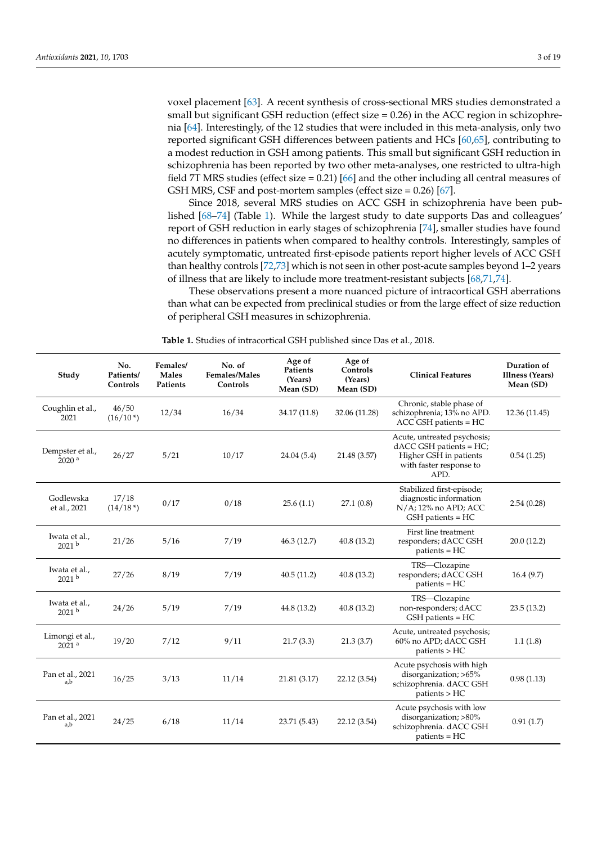voxel placement [\[63\]](#page-12-18). A recent synthesis of cross-sectional MRS studies demonstrated a small but significant GSH reduction (effect size  $= 0.26$ ) in the ACC region in schizophrenia [\[64\]](#page-12-19). Interestingly, of the 12 studies that were included in this meta-analysis, only two reported significant GSH differences between patients and HCs [\[60](#page-12-16)[,65\]](#page-13-0), contributing to a modest reduction in GSH among patients. This small but significant GSH reduction in schizophrenia has been reported by two other meta-analyses, one restricted to ultra-high field 7T MRS studies (effect size = 0.21) [\[66\]](#page-13-1) and the other including all central measures of GSH MRS, CSF and post-mortem samples (effect size = 0.26) [\[67\]](#page-13-2).

Since 2018, several MRS studies on ACC GSH in schizophrenia have been published [\[68](#page-13-3)[–74\]](#page-13-4) (Table [1\)](#page-2-0). While the largest study to date supports Das and colleagues' report of GSH reduction in early stages of schizophrenia [\[74\]](#page-13-4), smaller studies have found no differences in patients when compared to healthy controls. Interestingly, samples of acutely symptomatic, untreated first-episode patients report higher levels of ACC GSH than healthy controls [\[72](#page-13-5)[,73\]](#page-13-6) which is not seen in other post-acute samples beyond 1–2 years of illness that are likely to include more treatment-resistant subjects [\[68](#page-13-3)[,71](#page-13-7)[,74\]](#page-13-4).

These observations present a more nuanced picture of intracortical GSH aberrations than what can be expected from preclinical studies or from the large effect of size reduction of peripheral GSH measures in schizophrenia.

<span id="page-2-0"></span>

| Study                                  | No.<br>Patients/<br>Controls | Females/<br><b>Males</b><br>Patients | No. of<br>Females/Males<br>Controls | Age of<br>Patients<br>(Years)<br>Mean (SD) | Age of<br>Controls<br>(Years)<br>Mean (SD) | <b>Clinical Features</b>                                                                                            | Duration of<br><b>Illness (Years)</b><br>Mean (SD) |
|----------------------------------------|------------------------------|--------------------------------------|-------------------------------------|--------------------------------------------|--------------------------------------------|---------------------------------------------------------------------------------------------------------------------|----------------------------------------------------|
| Coughlin et al.,<br>2021               | 46/50<br>$(16/10*)$          | 12/34                                | 16/34                               | 34.17 (11.8)                               | 32.06 (11.28)                              | Chronic, stable phase of<br>schizophrenia; 13% no APD.<br>ACC GSH patients = HC                                     | 12.36 (11.45)                                      |
| Dempster et al.,<br>2020 <sup>a</sup>  | 26/27                        | 5/21                                 | 10/17                               | 24.04(5.4)                                 | 21.48 (3.57)                               | Acute, untreated psychosis;<br>dACC GSH patients = HC;<br>Higher GSH in patients<br>with faster response to<br>APD. | 0.54(1.25)                                         |
| Godlewska<br>et al., 2021              | 17/18<br>$(14/18*)$          | 0/17                                 | 0/18                                | 25.6(1.1)                                  | 27.1(0.8)                                  | Stabilized first-episode;<br>diagnostic information<br>$N/A$ ; 12% no APD; ACC<br>GSH patients = HC                 | 2.54(0.28)                                         |
| Iwata et al.,<br>2021 <sup>b</sup>     | 21/26                        | 5/16                                 | 7/19                                | 46.3(12.7)                                 | 40.8(13.2)                                 | First line treatment<br>responders; dACC GSH<br>$patients = HC$                                                     | 20.0(12.2)                                         |
| Iwata et al.,<br>2021 <sup>b</sup>     | 27/26                        | 8/19                                 | 7/19                                | 40.5(11.2)                                 | 40.8(13.2)                                 | TRS-Clozapine<br>responders; dACC GSH<br>$patients = HC$                                                            | 16.4(9.7)                                          |
| Iwata et al.,<br>2021 <sup>b</sup>     | 24/26                        | 5/19                                 | 7/19                                | 44.8 (13.2)                                | 40.8 (13.2)                                | TRS-Clozapine<br>non-responders; dACC<br>GSH patients = HC                                                          | 23.5(13.2)                                         |
| Limongi et al.,<br>$2021$ <sup>a</sup> | 19/20                        | 7/12                                 | 9/11                                | 21.7(3.3)                                  | 21.3(3.7)                                  | Acute, untreated psychosis;<br>60% no APD; dACC GSH<br>patients > HC                                                | 1.1(1.8)                                           |
| Pan et al., 2021<br>a,b                | 16/25                        | 3/13                                 | 11/14                               | 21.81 (3.17)                               | 22.12 (3.54)                               | Acute psychosis with high<br>disorganization; >65%<br>schizophrenia. dACC GSH<br>patients > HC                      | 0.98(1.13)                                         |
| Pan et al., 2021<br>a,b                | 24/25                        | 6/18                                 | 11/14                               | 23.71 (5.43)                               | 22.12 (3.54)                               | Acute psychosis with low<br>disorganization; >80%<br>schizophrenia. dACC GSH<br>$patients = HC$                     | 0.91(1.7)                                          |

**Table 1.** Studies of intracortical GSH published since Das et al., 2018.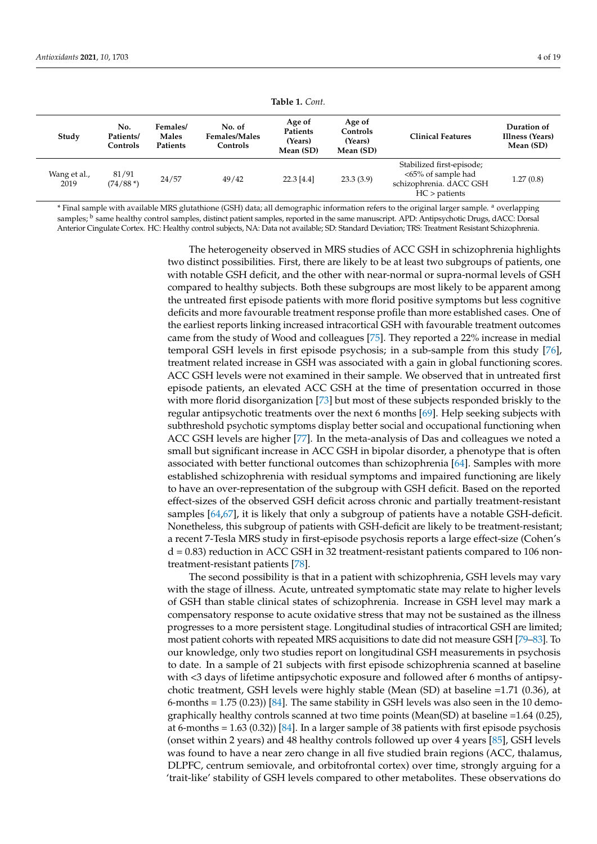| Study                | No.<br>Patients/<br>Controls | Females/<br>Males<br>Patients | No. of<br><b>Females/Males</b><br>Controls | Age of<br>Patients<br>(Years)<br>Mean (SD) | Age of<br>Controls<br>(Years)<br>Mean (SD) | <b>Clinical Features</b>                                                                      | Duration of<br>Illness (Years)<br>Mean (SD) |
|----------------------|------------------------------|-------------------------------|--------------------------------------------|--------------------------------------------|--------------------------------------------|-----------------------------------------------------------------------------------------------|---------------------------------------------|
| Wang et al.,<br>2019 | 81/91<br>$(74/88*)$          | 24/57                         | 49/42                                      | $22.3$ [4.4]                               | 23.3(3.9)                                  | Stabilized first-episode;<br><65% of sample had<br>schizophrenia. dACC GSH<br>$HC >$ patients | 1.27(0.8)                                   |

\* Final sample with available MRS glutathione (GSH) data; all demographic information refers to the original larger sample. <sup>a</sup> overlapping samples; <sup>b</sup> same healthy control samples, distinct patient samples, reported in the same manuscript. APD: Antipsychotic Drugs, dACC: Dorsal Anterior Cingulate Cortex. HC: Healthy control subjects, NA: Data not available; SD: Standard Deviation; TRS: Treatment Resistant Schizophrenia.

> The heterogeneity observed in MRS studies of ACC GSH in schizophrenia highlights two distinct possibilities. First, there are likely to be at least two subgroups of patients, one with notable GSH deficit, and the other with near-normal or supra-normal levels of GSH compared to healthy subjects. Both these subgroups are most likely to be apparent among the untreated first episode patients with more florid positive symptoms but less cognitive deficits and more favourable treatment response profile than more established cases. One of the earliest reports linking increased intracortical GSH with favourable treatment outcomes came from the study of Wood and colleagues [\[75\]](#page-13-8). They reported a 22% increase in medial temporal GSH levels in first episode psychosis; in a sub-sample from this study [\[76\]](#page-13-9), treatment related increase in GSH was associated with a gain in global functioning scores. ACC GSH levels were not examined in their sample. We observed that in untreated first episode patients, an elevated ACC GSH at the time of presentation occurred in those with more florid disorganization [\[73\]](#page-13-6) but most of these subjects responded briskly to the regular antipsychotic treatments over the next 6 months [\[69\]](#page-13-10). Help seeking subjects with subthreshold psychotic symptoms display better social and occupational functioning when ACC GSH levels are higher [\[77\]](#page-13-11). In the meta-analysis of Das and colleagues we noted a small but significant increase in ACC GSH in bipolar disorder, a phenotype that is often associated with better functional outcomes than schizophrenia [\[64\]](#page-12-19). Samples with more established schizophrenia with residual symptoms and impaired functioning are likely to have an over-representation of the subgroup with GSH deficit. Based on the reported effect-sizes of the observed GSH deficit across chronic and partially treatment-resistant samples [\[64,](#page-12-19)[67\]](#page-13-2), it is likely that only a subgroup of patients have a notable GSH-deficit. Nonetheless, this subgroup of patients with GSH-deficit are likely to be treatment-resistant; a recent 7-Tesla MRS study in first-episode psychosis reports a large effect-size (Cohen's d = 0.83) reduction in ACC GSH in 32 treatment-resistant patients compared to 106 nontreatment-resistant patients [\[78\]](#page-13-12).

> The second possibility is that in a patient with schizophrenia, GSH levels may vary with the stage of illness. Acute, untreated symptomatic state may relate to higher levels of GSH than stable clinical states of schizophrenia. Increase in GSH level may mark a compensatory response to acute oxidative stress that may not be sustained as the illness progresses to a more persistent stage. Longitudinal studies of intracortical GSH are limited; most patient cohorts with repeated MRS acquisitions to date did not measure GSH [\[79–](#page-13-13)[83\]](#page-13-14). To our knowledge, only two studies report on longitudinal GSH measurements in psychosis to date. In a sample of 21 subjects with first episode schizophrenia scanned at baseline with <3 days of lifetime antipsychotic exposure and followed after 6 months of antipsychotic treatment, GSH levels were highly stable (Mean (SD) at baseline =1.71 (0.36), at 6-months  $= 1.75 (0.23) [84]$  $= 1.75 (0.23) [84]$ . The same stability in GSH levels was also seen in the 10 demographically healthy controls scanned at two time points (Mean(SD) at baseline =1.64 (0.25), at 6-months = 1.63 (0.32)) [\[84\]](#page-13-15). In a larger sample of 38 patients with first episode psychosis (onset within 2 years) and 48 healthy controls followed up over 4 years [\[85\]](#page-14-0), GSH levels was found to have a near zero change in all five studied brain regions (ACC, thalamus, DLPFC, centrum semiovale, and orbitofrontal cortex) over time, strongly arguing for a 'trait-like' stability of GSH levels compared to other metabolites. These observations do

**Table 1.** *Cont.*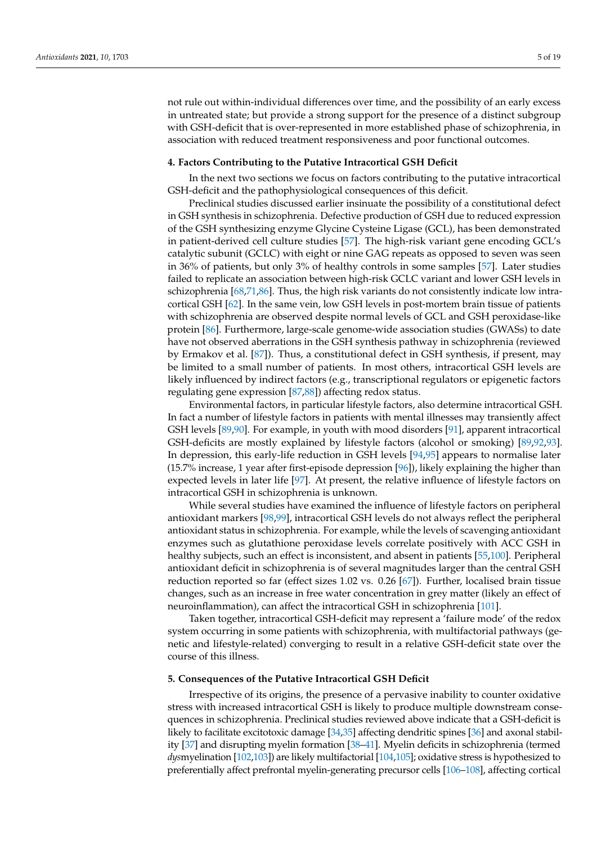not rule out within-individual differences over time, and the possibility of an early excess in untreated state; but provide a strong support for the presence of a distinct subgroup with GSH-deficit that is over-represented in more established phase of schizophrenia, in association with reduced treatment responsiveness and poor functional outcomes.

#### **4. Factors Contributing to the Putative Intracortical GSH Deficit**

In the next two sections we focus on factors contributing to the putative intracortical GSH-deficit and the pathophysiological consequences of this deficit.

Preclinical studies discussed earlier insinuate the possibility of a constitutional defect in GSH synthesis in schizophrenia. Defective production of GSH due to reduced expression of the GSH synthesizing enzyme Glycine Cysteine Ligase (GCL), has been demonstrated in patient-derived cell culture studies [\[57\]](#page-12-14). The high-risk variant gene encoding GCL's catalytic subunit (GCLC) with eight or nine GAG repeats as opposed to seven was seen in 36% of patients, but only 3% of healthy controls in some samples [\[57\]](#page-12-14). Later studies failed to replicate an association between high-risk GCLC variant and lower GSH levels in schizophrenia [\[68](#page-13-3)[,71](#page-13-7)[,86\]](#page-14-1). Thus, the high risk variants do not consistently indicate low intracortical GSH [\[62\]](#page-12-17). In the same vein, low GSH levels in post-mortem brain tissue of patients with schizophrenia are observed despite normal levels of GCL and GSH peroxidase-like protein [\[86\]](#page-14-1). Furthermore, large-scale genome-wide association studies (GWASs) to date have not observed aberrations in the GSH synthesis pathway in schizophrenia (reviewed by Ermakov et al. [\[87\]](#page-14-2)). Thus, a constitutional defect in GSH synthesis, if present, may be limited to a small number of patients. In most others, intracortical GSH levels are likely influenced by indirect factors (e.g., transcriptional regulators or epigenetic factors regulating gene expression [\[87](#page-14-2)[,88\]](#page-14-3)) affecting redox status.

Environmental factors, in particular lifestyle factors, also determine intracortical GSH. In fact a number of lifestyle factors in patients with mental illnesses may transiently affect GSH levels [\[89,](#page-14-4)[90\]](#page-14-5). For example, in youth with mood disorders [\[91\]](#page-14-6), apparent intracortical GSH-deficits are mostly explained by lifestyle factors (alcohol or smoking) [\[89,](#page-14-4)[92,](#page-14-7)[93\]](#page-14-8). In depression, this early-life reduction in GSH levels [\[94,](#page-14-9)[95\]](#page-14-10) appears to normalise later (15.7% increase, 1 year after first-episode depression [\[96\]](#page-14-11)), likely explaining the higher than expected levels in later life [\[97\]](#page-14-12). At present, the relative influence of lifestyle factors on intracortical GSH in schizophrenia is unknown.

While several studies have examined the influence of lifestyle factors on peripheral antioxidant markers [\[98,](#page-14-13)[99\]](#page-14-14), intracortical GSH levels do not always reflect the peripheral antioxidant status in schizophrenia. For example, while the levels of scavenging antioxidant enzymes such as glutathione peroxidase levels correlate positively with ACC GSH in healthy subjects, such an effect is inconsistent, and absent in patients [\[55,](#page-12-12)[100\]](#page-14-15). Peripheral antioxidant deficit in schizophrenia is of several magnitudes larger than the central GSH reduction reported so far (effect sizes 1.02 vs. 0.26 [\[67\]](#page-13-2)). Further, localised brain tissue changes, such as an increase in free water concentration in grey matter (likely an effect of neuroinflammation), can affect the intracortical GSH in schizophrenia [\[101\]](#page-14-16).

Taken together, intracortical GSH-deficit may represent a 'failure mode' of the redox system occurring in some patients with schizophrenia, with multifactorial pathways (genetic and lifestyle-related) converging to result in a relative GSH-deficit state over the course of this illness.

#### **5. Consequences of the Putative Intracortical GSH Deficit**

Irrespective of its origins, the presence of a pervasive inability to counter oxidative stress with increased intracortical GSH is likely to produce multiple downstream consequences in schizophrenia. Preclinical studies reviewed above indicate that a GSH-deficit is likely to facilitate excitotoxic damage [\[34,](#page-11-13)[35\]](#page-11-14) affecting dendritic spines [\[36\]](#page-11-15) and axonal stability [\[37\]](#page-11-16) and disrupting myelin formation [\[38](#page-11-17)[–41\]](#page-11-18). Myelin deficits in schizophrenia (termed *dys*myelination [\[102,](#page-14-17)[103\]](#page-14-18)) are likely multifactorial [\[104,](#page-14-19)[105\]](#page-14-20); oxidative stress is hypothesized to preferentially affect prefrontal myelin-generating precursor cells [\[106](#page-14-21)[–108\]](#page-14-22), affecting cortical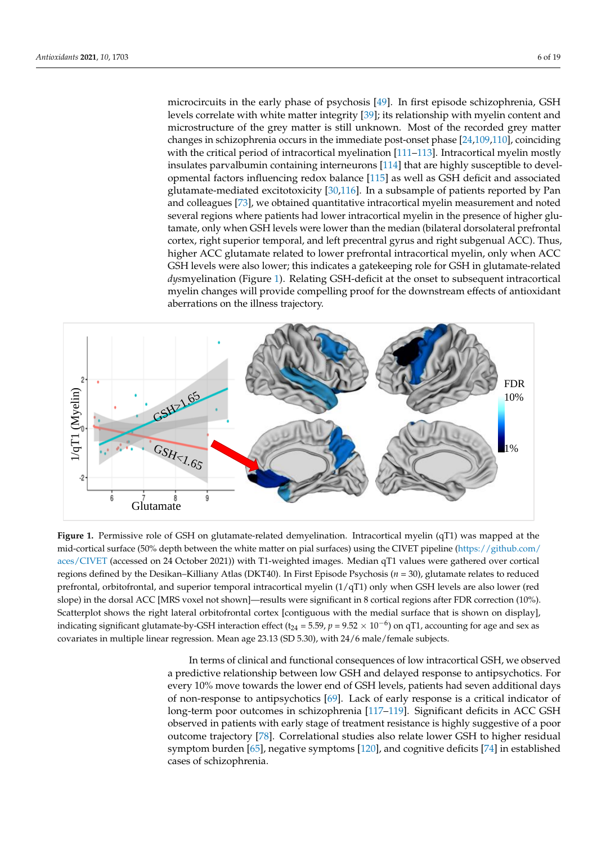microcircuits in the early phase of psychosis [\[49\]](#page-12-6). In first episode schizophrenia, GSH levels correlate with white matter integrity [\[39\]](#page-11-20); its relationship with myelin content and microstructure of the grey matter is still unknown. Most of the recorded grey matter changes in schizophrenia occurs in the immediate post-onset phase [\[24,](#page-11-4)[109,](#page-14-23)[110\]](#page-15-0), coinciding with the critical period of intracortical myelination [\[111](#page-15-1)-113]. Intracortical myelin mostly insulates parvalbumi[n co](#page-15-3)ntaining interneurons [114] that are highly susceptible to devel-opmental factors influencing redox balance [\[115\]](#page-15-4) as well as GSH deficit and associated glutamate-mediated excitotoxicity [\[30](#page-11-9)[,116\]](#page-15-5). In a subsample of patients reported by Pan and colleagues [73], we obtained quantitative intracortical myelin measurement and noted several regions where patients had lower intracortical myelin in the presence of higher glutamate, only when GSH levels were lower than the median (bilateral dorsolateral prefrontal cortex, right superior temporal, and left precentral gyrus and right subgenual ACC). Thus, higher ACC glutamate related to lower prefrontal intracortical myelin, only when ACC GSH levels were also lower; this indicates a gatekeeping role for GSH in glutamate-related dysmyelination (Figure 1). Relating GSH-deficit at the onset to subsequent intracortical myelin changes will provide compelling proof for the downstream effects of antioxidant aberrations on the illness trajectory.

<span id="page-5-0"></span>

Figure 1. Permissive role of GSH on glutamate-related demyelination. Intracortical myelin (qT1) was mapped at the mid-cortical surface (50% depth between the white matter on pial surfaces) using the CIVET pipeline [\(https://github.com/](https://github.com/aces/CIVET) [aces/CIVET](https://github.com/aces/CIVET) (accessed on 24 October 2021)) with T1-weighted images. Median qT1 values were gathered over cortical regions defined by the Desikan–Killiany Atlas (DKT40). In First Episode Psychosis ( $n = 30$ ), glutamate relates to reduced regions defined by the because from the superior temporal intractor of the superior of the superior of the superior temporal interaction of the superior of the superior of the superior of the superior of the superior of th prefrontal, orbitofrontal, and superior temporal intracortical myelin  $(1/qT1)$  only when GSH levels are also lower (red<br> slope) in the dorsal ACC [MRS voxel not shown]—results were significant in 8 cortical regions after FDR correction (10%). Scatterplot shows the right lateral orbitofrontal cortex [contiguous with the medial surface that is shown on display], indicating significant glutamate-by-GSH interaction effect (t $_{24}$  = 5.59,  $p$  = 9.52  $\times$  10<sup>-6</sup>) on qT1, accounting for age and sex as covariates in multiple linear regression. Mean age 23.13 (SD 5.30), with 24/6 male/female subjects.

In terms of clinical and functional consequences of low intracortical GSH, we ob-In terms of clinical and functional consequences of low intracortical GSH, we observed a predictive relationship between low GSH and delayed response to antipsychotics. For every 10% move towards the lower end of GSH levels, patients had seven additional days of non-response to antipsychotics [\[69\]](#page-13-10). Lack of early response is a critical indicator of long-term poor outcomes in schizophrenia [\[117](#page-15-6)[–119\]](#page-15-7). Significant deficits in ACC GSH observed in patients with early stage of treatment resistance is highly suggestive of a poor outcome trajectory [\[78\]](#page-13-12). Correlational studies also relate lower GSH to higher residual symptom burden [\[65\]](#page-13-0), negative symptoms [\[120\]](#page-15-8), and cognitive deficits [\[74\]](#page-13-4) in established cases of schizophrenia.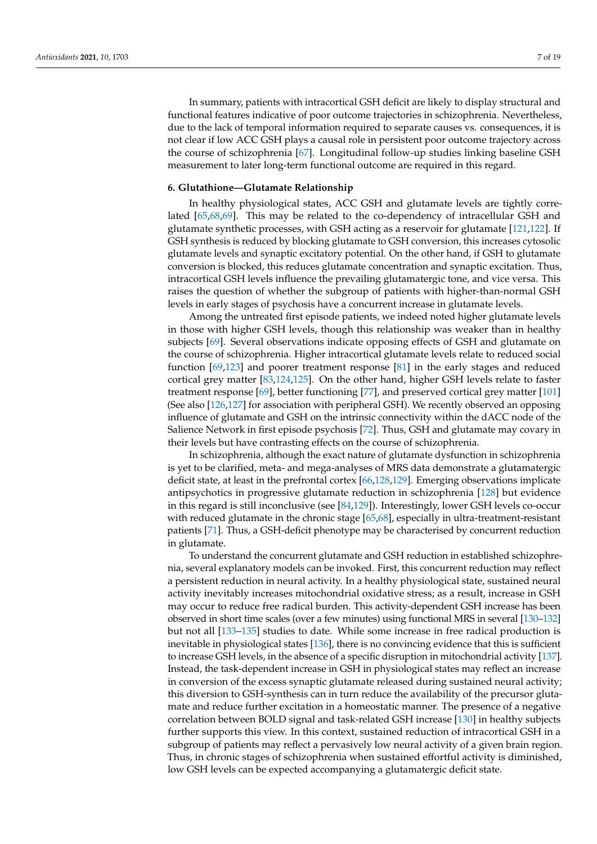In summary, patients with intracortical GSH deficit are likely to display structural and functional features indicative of poor outcome trajectories in schizophrenia. Nevertheless, due to the lack of temporal information required to separate causes vs. consequences, it is not clear if low ACC GSH plays a causal role in persistent poor outcome trajectory across the course of schizophrenia [\[67\]](#page-13-2). Longitudinal follow-up studies linking baseline GSH measurement to later long-term functional outcome are required in this regard.

#### **6. Glutathione—Glutamate Relationship**

In healthy physiological states, ACC GSH and glutamate levels are tightly correlated [\[65,](#page-13-0)[68](#page-13-3)[,69\]](#page-13-10). This may be related to the co-dependency of intracellular GSH and glutamate synthetic processes, with GSH acting as a reservoir for glutamate [\[121,](#page-15-9)[122\]](#page-15-10). If GSH synthesis is reduced by blocking glutamate to GSH conversion, this increases cytosolic glutamate levels and synaptic excitatory potential. On the other hand, if GSH to glutamate conversion is blocked, this reduces glutamate concentration and synaptic excitation. Thus, intracortical GSH levels influence the prevailing glutamatergic tone, and vice versa. This raises the question of whether the subgroup of patients with higher-than-normal GSH levels in early stages of psychosis have a concurrent increase in glutamate levels.

Among the untreated first episode patients, we indeed noted higher glutamate levels in those with higher GSH levels, though this relationship was weaker than in healthy subjects [\[69\]](#page-13-10). Several observations indicate opposing effects of GSH and glutamate on the course of schizophrenia. Higher intracortical glutamate levels relate to reduced social function [\[69,](#page-13-10)[123\]](#page-15-11) and poorer treatment response [\[81\]](#page-13-16) in the early stages and reduced cortical grey matter [\[83](#page-13-14)[,124,](#page-15-12)[125\]](#page-15-13). On the other hand, higher GSH levels relate to faster treatment response [\[69\]](#page-13-10), better functioning [\[77\]](#page-13-11), and preserved cortical grey matter [\[101\]](#page-14-16) (See also [\[126](#page-15-14)[,127\]](#page-15-15) for association with peripheral GSH). We recently observed an opposing influence of glutamate and GSH on the intrinsic connectivity within the dACC node of the Salience Network in first episode psychosis [\[72\]](#page-13-5). Thus, GSH and glutamate may covary in their levels but have contrasting effects on the course of schizophrenia.

In schizophrenia, although the exact nature of glutamate dysfunction in schizophrenia is yet to be clarified, meta- and mega-analyses of MRS data demonstrate a glutamatergic deficit state, at least in the prefrontal cortex [\[66](#page-13-1)[,128](#page-15-16)[,129\]](#page-15-17). Emerging observations implicate antipsychotics in progressive glutamate reduction in schizophrenia [\[128\]](#page-15-16) but evidence in this regard is still inconclusive (see [\[84,](#page-13-15)[129\]](#page-15-17)). Interestingly, lower GSH levels co-occur with reduced glutamate in the chronic stage [\[65](#page-13-0)[,68\]](#page-13-3), especially in ultra-treatment-resistant patients [\[71\]](#page-13-7). Thus, a GSH-deficit phenotype may be characterised by concurrent reduction in glutamate.

To understand the concurrent glutamate and GSH reduction in established schizophrenia, several explanatory models can be invoked. First, this concurrent reduction may reflect a persistent reduction in neural activity. In a healthy physiological state, sustained neural activity inevitably increases mitochondrial oxidative stress; as a result, increase in GSH may occur to reduce free radical burden. This activity-dependent GSH increase has been observed in short time scales (over a few minutes) using functional MRS in several [\[130–](#page-15-18)[132\]](#page-16-0) but not all [\[133–](#page-16-1)[135\]](#page-16-2) studies to date. While some increase in free radical production is inevitable in physiological states [\[136\]](#page-16-3), there is no convincing evidence that this is sufficient to increase GSH levels, in the absence of a specific disruption in mitochondrial activity [\[137\]](#page-16-4). Instead, the task-dependent increase in GSH in physiological states may reflect an increase in conversion of the excess synaptic glutamate released during sustained neural activity; this diversion to GSH-synthesis can in turn reduce the availability of the precursor glutamate and reduce further excitation in a homeostatic manner. The presence of a negative correlation between BOLD signal and task-related GSH increase [\[130\]](#page-15-18) in healthy subjects further supports this view. In this context, sustained reduction of intracortical GSH in a subgroup of patients may reflect a pervasively low neural activity of a given brain region. Thus, in chronic stages of schizophrenia when sustained effortful activity is diminished, low GSH levels can be expected accompanying a glutamatergic deficit state.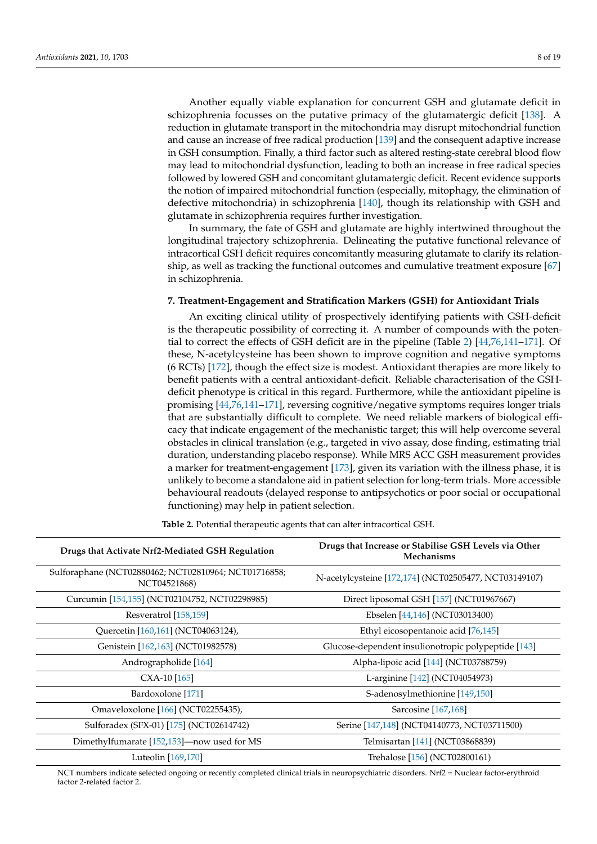Another equally viable explanation for concurrent GSH and glutamate deficit in schizophrenia focusses on the putative primacy of the glutamatergic deficit [\[138\]](#page-16-5). A reduction in glutamate transport in the mitochondria may disrupt mitochondrial function and cause an increase of free radical production [\[139\]](#page-16-6) and the consequent adaptive increase in GSH consumption. Finally, a third factor such as altered resting-state cerebral blood flow may lead to mitochondrial dysfunction, leading to both an increase in free radical species followed by lowered GSH and concomitant glutamatergic deficit. Recent evidence supports the notion of impaired mitochondrial function (especially, mitophagy, the elimination of defective mitochondria) in schizophrenia [\[140\]](#page-16-7), though its relationship with GSH and glutamate in schizophrenia requires further investigation.

In summary, the fate of GSH and glutamate are highly intertwined throughout the longitudinal trajectory schizophrenia. Delineating the putative functional relevance of intracortical GSH deficit requires concomitantly measuring glutamate to clarify its relationship, as well as tracking the functional outcomes and cumulative treatment exposure [\[67\]](#page-13-2) in schizophrenia.

#### **7. Treatment-Engagement and Stratification Markers (GSH) for Antioxidant Trials**

An exciting clinical utility of prospectively identifying patients with GSH-deficit is the therapeutic possibility of correcting it. A number of compounds with the potential to correct the effects of GSH deficit are in the pipeline (Table [2\)](#page-7-0) [\[44](#page-12-1)[,76,](#page-13-9)[141](#page-16-8)[–171\]](#page-17-0). Of these, N-acetylcysteine has been shown to improve cognition and negative symptoms (6 RCTs) [\[172\]](#page-17-1), though the effect size is modest. Antioxidant therapies are more likely to benefit patients with a central antioxidant-deficit. Reliable characterisation of the GSHdeficit phenotype is critical in this regard. Furthermore, while the antioxidant pipeline is promising [\[44](#page-12-1)[,76](#page-13-9)[,141](#page-16-8)[–171\]](#page-17-0), reversing cognitive/negative symptoms requires longer trials that are substantially difficult to complete. We need reliable markers of biological efficacy that indicate engagement of the mechanistic target; this will help overcome several obstacles in clinical translation (e.g., targeted in vivo assay, dose finding, estimating trial duration, understanding placebo response). While MRS ACC GSH measurement provides a marker for treatment-engagement [\[173\]](#page-17-2), given its variation with the illness phase, it is unlikely to become a standalone aid in patient selection for long-term trials. More accessible behavioural readouts (delayed response to antipsychotics or poor social or occupational functioning) may help in patient selection.

<span id="page-7-0"></span>**Drugs that Activate Nrf2-Mediated GSH Regulation Drugs that Increase or Stabilise GSH Levels via Other Mechanisms** Sulforaphane (NCT02880462; NCT02810964; NCT01716858; 000402, NCT02510504, NCT01710006,<br>N-acetylcysteine [\[172,](#page-17-1)[174\]](#page-17-3) (NCT02505477, NCT03149107)<br>N-acetylcysteine [172,174] (NCT02505477, NCT03149107) Curcumin [\[154](#page-17-4)[,155\]](#page-17-5) (NCT02104752, NCT02298985) Direct liposomal GSH [\[157\]](#page-17-6) (NCT01967667) Resveratrol [\[158](#page-17-7)[,159\]](#page-17-8) Ebselen [\[44,](#page-12-1)[146\]](#page-16-9) (NCT03013400) Quercetin [\[160,](#page-17-9)[161\]](#page-17-10) (NCT04063124), Ethyl eicosopentanoic acid [\[76](#page-13-9)[,145\]](#page-16-10) Genistein [\[162](#page-17-11)[,163\]](#page-17-12) (NCT01982578) Glucose-dependent insulionotropic polypeptide [\[143\]](#page-16-11) Andrographolide [\[164\]](#page-17-13) Alpha-lipoic acid [\[144\]](#page-16-12) (NCT03788759) CXA-10 [\[165\]](#page-17-14) L-arginine [\[142\]](#page-16-13) (NCT04054973) Bardoxolone [\[171\]](#page-17-0) S-adenosylmethionine [\[149,](#page-16-14)[150\]](#page-16-15) Omaveloxolone [\[166\]](#page-17-15) (NCT02255435), Sarcosine [\[167](#page-17-16)[,168\]](#page-17-17) Sulforadex (SFX-01) [\[175\]](#page-17-18) (NCT02614742) Serine [\[147,](#page-16-16)[148\]](#page-16-17) (NCT04140773, NCT03711500) Dimethylfumarate [\[152](#page-16-18)[,153\]](#page-16-19)—now used for MS Telmisartan [\[141\]](#page-16-8) (NCT03868839) Luteolin [\[169,](#page-17-19)[170\]](#page-17-20) Trehalose [\[156\]](#page-17-21) (NCT02800161)

**Table 2.** Potential therapeutic agents that can alter intracortical GSH.

NCT numbers indicate selected ongoing or recently completed clinical trials in neuropsychiatric disorders. Nrf2 = Nuclear factor-erythroid factor 2-related factor 2.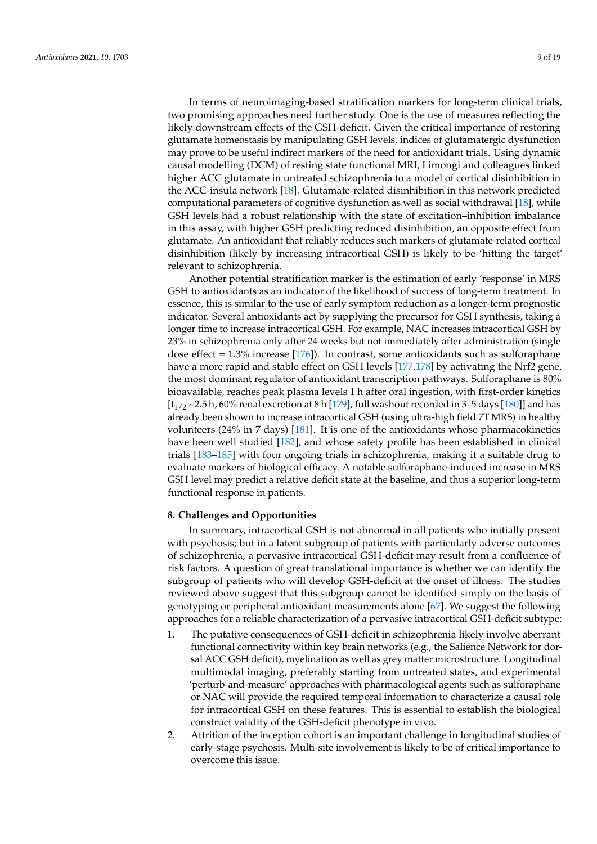In terms of neuroimaging-based stratification markers for long-term clinical trials, two promising approaches need further study. One is the use of measures reflecting the likely downstream effects of the GSH-deficit. Given the critical importance of restoring glutamate homeostasis by manipulating GSH levels, indices of glutamatergic dysfunction may prove to be useful indirect markers of the need for antioxidant trials. Using dynamic causal modelling (DCM) of resting state functional MRI, Limongi and colleagues linked higher ACC glutamate in untreated schizophrenia to a model of cortical disinhibition in the ACC-insula network [\[18\]](#page-10-15). Glutamate-related disinhibition in this network predicted computational parameters of cognitive dysfunction as well as social withdrawal [\[18\]](#page-10-15), while GSH levels had a robust relationship with the state of excitation–inhibition imbalance in this assay, with higher GSH predicting reduced disinhibition, an opposite effect from glutamate. An antioxidant that reliably reduces such markers of glutamate-related cortical disinhibition (likely by increasing intracortical GSH) is likely to be 'hitting the target' relevant to schizophrenia.

Another potential stratification marker is the estimation of early 'response' in MRS GSH to antioxidants as an indicator of the likelihood of success of long-term treatment. In essence, this is similar to the use of early symptom reduction as a longer-term prognostic indicator. Several antioxidants act by supplying the precursor for GSH synthesis, taking a longer time to increase intracortical GSH. For example, NAC increases intracortical GSH by 23% in schizophrenia only after 24 weeks but not immediately after administration (single dose effect =  $1.3\%$  increase [\[176\]](#page-17-22)). In contrast, some antioxidants such as sulforaphane have a more rapid and stable effect on GSH levels [\[177,](#page-17-23)[178\]](#page-17-24) by activating the Nrf2 gene, the most dominant regulator of antioxidant transcription pathways. Sulforaphane is 80% bioavailable, reaches peak plasma levels 1 h after oral ingestion, with first-order kinetics  $[t<sub>1/2</sub> \sim 2.5$  h, 60% renal excretion at 8 h [\[179\]](#page-18-0), full washout recorded in 3–5 days [\[180\]](#page-18-1)] and has already been shown to increase intracortical GSH (using ultra-high field 7T MRS) in healthy volunteers (24% in 7 days) [\[181\]](#page-18-2). It is one of the antioxidants whose pharmacokinetics have been well studied [\[182\]](#page-18-3), and whose safety profile has been established in clinical trials [\[183–](#page-18-4)[185\]](#page-18-5) with four ongoing trials in schizophrenia, making it a suitable drug to evaluate markers of biological efficacy. A notable sulforaphane-induced increase in MRS GSH level may predict a relative deficit state at the baseline, and thus a superior long-term functional response in patients.

#### **8. Challenges and Opportunities**

In summary, intracortical GSH is not abnormal in all patients who initially present with psychosis; but in a latent subgroup of patients with particularly adverse outcomes of schizophrenia, a pervasive intracortical GSH-deficit may result from a confluence of risk factors. A question of great translational importance is whether we can identify the subgroup of patients who will develop GSH-deficit at the onset of illness. The studies reviewed above suggest that this subgroup cannot be identified simply on the basis of genotyping or peripheral antioxidant measurements alone [\[67\]](#page-13-2). We suggest the following approaches for a reliable characterization of a pervasive intracortical GSH-deficit subtype:

- 1. The putative consequences of GSH-deficit in schizophrenia likely involve aberrant functional connectivity within key brain networks (e.g., the Salience Network for dorsal ACC GSH deficit), myelination as well as grey matter microstructure. Longitudinal multimodal imaging, preferably starting from untreated states, and experimental 'perturb-and-measure' approaches with pharmacological agents such as sulforaphane or NAC will provide the required temporal information to characterize a causal role for intracortical GSH on these features. This is essential to establish the biological construct validity of the GSH-deficit phenotype in vivo.
- 2. Attrition of the inception cohort is an important challenge in longitudinal studies of early-stage psychosis. Multi-site involvement is likely to be of critical importance to overcome this issue.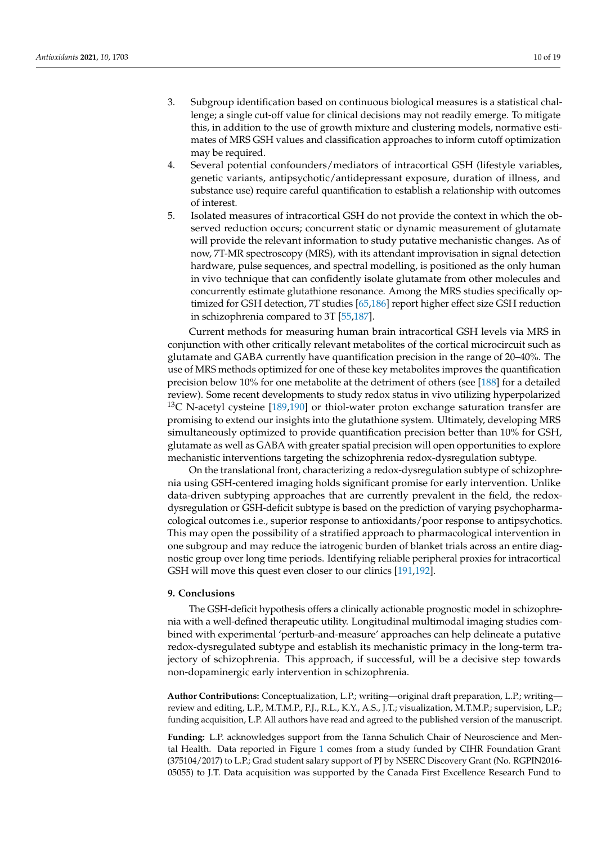- 3. Subgroup identification based on continuous biological measures is a statistical challenge; a single cut-off value for clinical decisions may not readily emerge. To mitigate this, in addition to the use of growth mixture and clustering models, normative estimates of MRS GSH values and classification approaches to inform cutoff optimization may be required.
- 4. Several potential confounders/mediators of intracortical GSH (lifestyle variables, genetic variants, antipsychotic/antidepressant exposure, duration of illness, and substance use) require careful quantification to establish a relationship with outcomes of interest.
- 5. Isolated measures of intracortical GSH do not provide the context in which the observed reduction occurs; concurrent static or dynamic measurement of glutamate will provide the relevant information to study putative mechanistic changes. As of now, 7T-MR spectroscopy (MRS), with its attendant improvisation in signal detection hardware, pulse sequences, and spectral modelling, is positioned as the only human in vivo technique that can confidently isolate glutamate from other molecules and concurrently estimate glutathione resonance. Among the MRS studies specifically optimized for GSH detection, 7T studies [\[65](#page-13-0)[,186\]](#page-18-6) report higher effect size GSH reduction in schizophrenia compared to 3T [\[55,](#page-12-12)[187\]](#page-18-7).

Current methods for measuring human brain intracortical GSH levels via MRS in conjunction with other critically relevant metabolites of the cortical microcircuit such as glutamate and GABA currently have quantification precision in the range of 20–40%. The use of MRS methods optimized for one of these key metabolites improves the quantification precision below 10% for one metabolite at the detriment of others (see [\[188\]](#page-18-8) for a detailed review). Some recent developments to study redox status in vivo utilizing hyperpolarized  $13C$  N-acetyl cysteine [\[189](#page-18-9)[,190\]](#page-18-10) or thiol-water proton exchange saturation transfer are promising to extend our insights into the glutathione system. Ultimately, developing MRS simultaneously optimized to provide quantification precision better than 10% for GSH, glutamate as well as GABA with greater spatial precision will open opportunities to explore mechanistic interventions targeting the schizophrenia redox-dysregulation subtype.

On the translational front, characterizing a redox-dysregulation subtype of schizophrenia using GSH-centered imaging holds significant promise for early intervention. Unlike data-driven subtyping approaches that are currently prevalent in the field, the redoxdysregulation or GSH-deficit subtype is based on the prediction of varying psychopharmacological outcomes i.e., superior response to antioxidants/poor response to antipsychotics. This may open the possibility of a stratified approach to pharmacological intervention in one subgroup and may reduce the iatrogenic burden of blanket trials across an entire diagnostic group over long time periods. Identifying reliable peripheral proxies for intracortical GSH will move this quest even closer to our clinics [\[191](#page-18-11)[,192\]](#page-18-12).

#### **9. Conclusions**

The GSH-deficit hypothesis offers a clinically actionable prognostic model in schizophrenia with a well-defined therapeutic utility. Longitudinal multimodal imaging studies combined with experimental 'perturb-and-measure' approaches can help delineate a putative redox-dysregulated subtype and establish its mechanistic primacy in the long-term trajectory of schizophrenia. This approach, if successful, will be a decisive step towards non-dopaminergic early intervention in schizophrenia.

**Author Contributions:** Conceptualization, L.P.; writing—original draft preparation, L.P.; writing review and editing, L.P., M.T.M.P., P.J., R.L., K.Y., A.S., J.T.; visualization, M.T.M.P.; supervision, L.P.; funding acquisition, L.P. All authors have read and agreed to the published version of the manuscript.

**Funding:** L.P. acknowledges support from the Tanna Schulich Chair of Neuroscience and Mental Health. Data reported in Figure [1](#page-5-0) comes from a study funded by CIHR Foundation Grant (375104/2017) to L.P.; Grad student salary support of PJ by NSERC Discovery Grant (No. RGPIN2016- 05055) to J.T. Data acquisition was supported by the Canada First Excellence Research Fund to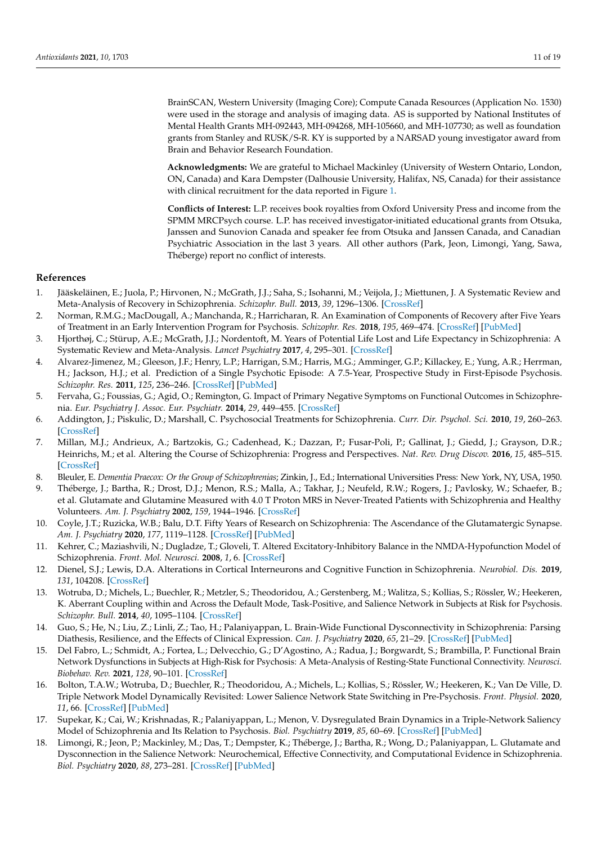BrainSCAN, Western University (Imaging Core); Compute Canada Resources (Application No. 1530) were used in the storage and analysis of imaging data. AS is supported by National Institutes of Mental Health Grants MH-092443, MH-094268, MH-105660, and MH-107730; as well as foundation grants from Stanley and RUSK/S-R. KY is supported by a NARSAD young investigator award from Brain and Behavior Research Foundation.

**Acknowledgments:** We are grateful to Michael Mackinley (University of Western Ontario, London, ON, Canada) and Kara Dempster (Dalhousie University, Halifax, NS, Canada) for their assistance with clinical recruitment for the data reported in Figure [1.](#page-5-0)

**Conflicts of Interest:** L.P. receives book royalties from Oxford University Press and income from the SPMM MRCPsych course. L.P. has received investigator-initiated educational grants from Otsuka, Janssen and Sunovion Canada and speaker fee from Otsuka and Janssen Canada, and Canadian Psychiatric Association in the last 3 years. All other authors (Park, Jeon, Limongi, Yang, Sawa, Théberge) report no conflict of interests.

### **References**

- <span id="page-10-0"></span>1. Jääskeläinen, E.; Juola, P.; Hirvonen, N.; McGrath, J.J.; Saha, S.; Isohanni, M.; Veijola, J.; Miettunen, J. A Systematic Review and Meta-Analysis of Recovery in Schizophrenia. *Schizophr. Bull.* **2013**, *39*, 1296–1306. [\[CrossRef\]](http://doi.org/10.1093/schbul/sbs130)
- <span id="page-10-1"></span>2. Norman, R.M.G.; MacDougall, A.; Manchanda, R.; Harricharan, R. An Examination of Components of Recovery after Five Years of Treatment in an Early Intervention Program for Psychosis. *Schizophr. Res.* **2018**, *195*, 469–474. [\[CrossRef\]](http://doi.org/10.1016/j.schres.2017.08.054) [\[PubMed\]](http://www.ncbi.nlm.nih.gov/pubmed/28888360)
- <span id="page-10-2"></span>3. Hjorthøj, C.; Stürup, A.E.; McGrath, J.J.; Nordentoft, M. Years of Potential Life Lost and Life Expectancy in Schizophrenia: A Systematic Review and Meta-Analysis. *Lancet Psychiatry* **2017**, *4*, 295–301. [\[CrossRef\]](http://doi.org/10.1016/S2215-0366(17)30078-0)
- <span id="page-10-3"></span>4. Alvarez-Jimenez, M.; Gleeson, J.F.; Henry, L.P.; Harrigan, S.M.; Harris, M.G.; Amminger, G.P.; Killackey, E.; Yung, A.R.; Herrman, H.; Jackson, H.J.; et al. Prediction of a Single Psychotic Episode: A 7.5-Year, Prospective Study in First-Episode Psychosis. *Schizophr. Res.* **2011**, *125*, 236–246. [\[CrossRef\]](http://doi.org/10.1016/j.schres.2010.10.020) [\[PubMed\]](http://www.ncbi.nlm.nih.gov/pubmed/21081266)
- <span id="page-10-4"></span>5. Fervaha, G.; Foussias, G.; Agid, O.; Remington, G. Impact of Primary Negative Symptoms on Functional Outcomes in Schizophrenia. *Eur. Psychiatry J. Assoc. Eur. Psychiatr.* **2014**, *29*, 449–455. [\[CrossRef\]](http://doi.org/10.1016/j.eurpsy.2014.01.007)
- <span id="page-10-5"></span>6. Addington, J.; Piskulic, D.; Marshall, C. Psychosocial Treatments for Schizophrenia. *Curr. Dir. Psychol. Sci.* **2010**, *19*, 260–263. [\[CrossRef\]](http://doi.org/10.1177/0963721410377743)
- <span id="page-10-6"></span>7. Millan, M.J.; Andrieux, A.; Bartzokis, G.; Cadenhead, K.; Dazzan, P.; Fusar-Poli, P.; Gallinat, J.; Giedd, J.; Grayson, D.R.; Heinrichs, M.; et al. Altering the Course of Schizophrenia: Progress and Perspectives. *Nat. Rev. Drug Discov.* **2016**, *15*, 485–515. [\[CrossRef\]](http://doi.org/10.1038/nrd.2016.28)
- <span id="page-10-7"></span>8. Bleuler, E. *Dementia Praecox: Or the Group of Schizophrenias*; Zinkin, J., Ed.; International Universities Press: New York, NY, USA, 1950.
- <span id="page-10-8"></span>9. Théberge, J.; Bartha, R.; Drost, D.J.; Menon, R.S.; Malla, A.; Takhar, J.; Neufeld, R.W.; Rogers, J.; Pavlosky, W.; Schaefer, B.; et al. Glutamate and Glutamine Measured with 4.0 T Proton MRS in Never-Treated Patients with Schizophrenia and Healthy Volunteers. *Am. J. Psychiatry* **2002**, *159*, 1944–1946. [\[CrossRef\]](http://doi.org/10.1176/appi.ajp.159.11.1944)
- <span id="page-10-9"></span>10. Coyle, J.T.; Ruzicka, W.B.; Balu, D.T. Fifty Years of Research on Schizophrenia: The Ascendance of the Glutamatergic Synapse. *Am. J. Psychiatry* **2020**, *177*, 1119–1128. [\[CrossRef\]](http://doi.org/10.1176/appi.ajp.2020.20101481) [\[PubMed\]](http://www.ncbi.nlm.nih.gov/pubmed/33256439)
- <span id="page-10-10"></span>11. Kehrer, C.; Maziashvili, N.; Dugladze, T.; Gloveli, T. Altered Excitatory-Inhibitory Balance in the NMDA-Hypofunction Model of Schizophrenia. *Front. Mol. Neurosci.* **2008**, *1*, 6. [\[CrossRef\]](http://doi.org/10.3389/neuro.02.006.2008)
- <span id="page-10-11"></span>12. Dienel, S.J.; Lewis, D.A. Alterations in Cortical Interneurons and Cognitive Function in Schizophrenia. *Neurobiol. Dis.* **2019**, *131*, 104208. [\[CrossRef\]](http://doi.org/10.1016/j.nbd.2018.06.020)
- <span id="page-10-12"></span>13. Wotruba, D.; Michels, L.; Buechler, R.; Metzler, S.; Theodoridou, A.; Gerstenberg, M.; Walitza, S.; Kollias, S.; Rössler, W.; Heekeren, K. Aberrant Coupling within and Across the Default Mode, Task-Positive, and Salience Network in Subjects at Risk for Psychosis. *Schizophr. Bull.* **2014**, *40*, 1095–1104. [\[CrossRef\]](http://doi.org/10.1093/schbul/sbt161)
- 14. Guo, S.; He, N.; Liu, Z.; Linli, Z.; Tao, H.; Palaniyappan, L. Brain-Wide Functional Dysconnectivity in Schizophrenia: Parsing Diathesis, Resilience, and the Effects of Clinical Expression. *Can. J. Psychiatry* **2020**, *65*, 21–29. [\[CrossRef\]](http://doi.org/10.1177/0706743719890174) [\[PubMed\]](http://www.ncbi.nlm.nih.gov/pubmed/31775531)
- 15. Del Fabro, L.; Schmidt, A.; Fortea, L.; Delvecchio, G.; D'Agostino, A.; Radua, J.; Borgwardt, S.; Brambilla, P. Functional Brain Network Dysfunctions in Subjects at High-Risk for Psychosis: A Meta-Analysis of Resting-State Functional Connectivity. *Neurosci. Biobehav. Rev.* **2021**, *128*, 90–101. [\[CrossRef\]](http://doi.org/10.1016/j.neubiorev.2021.06.020)
- <span id="page-10-13"></span>16. Bolton, T.A.W.; Wotruba, D.; Buechler, R.; Theodoridou, A.; Michels, L.; Kollias, S.; Rössler, W.; Heekeren, K.; Van De Ville, D. Triple Network Model Dynamically Revisited: Lower Salience Network State Switching in Pre-Psychosis. *Front. Physiol.* **2020**, *11*, 66. [\[CrossRef\]](http://doi.org/10.3389/fphys.2020.00066) [\[PubMed\]](http://www.ncbi.nlm.nih.gov/pubmed/32116776)
- <span id="page-10-14"></span>17. Supekar, K.; Cai, W.; Krishnadas, R.; Palaniyappan, L.; Menon, V. Dysregulated Brain Dynamics in a Triple-Network Saliency Model of Schizophrenia and Its Relation to Psychosis. *Biol. Psychiatry* **2019**, *85*, 60–69. [\[CrossRef\]](http://doi.org/10.1016/j.biopsych.2018.07.020) [\[PubMed\]](http://www.ncbi.nlm.nih.gov/pubmed/30177256)
- <span id="page-10-15"></span>18. Limongi, R.; Jeon, P.; Mackinley, M.; Das, T.; Dempster, K.; Théberge, J.; Bartha, R.; Wong, D.; Palaniyappan, L. Glutamate and Dysconnection in the Salience Network: Neurochemical, Effective Connectivity, and Computational Evidence in Schizophrenia. *Biol. Psychiatry* **2020**, *88*, 273–281. [\[CrossRef\]](http://doi.org/10.1016/j.biopsych.2020.01.021) [\[PubMed\]](http://www.ncbi.nlm.nih.gov/pubmed/32312577)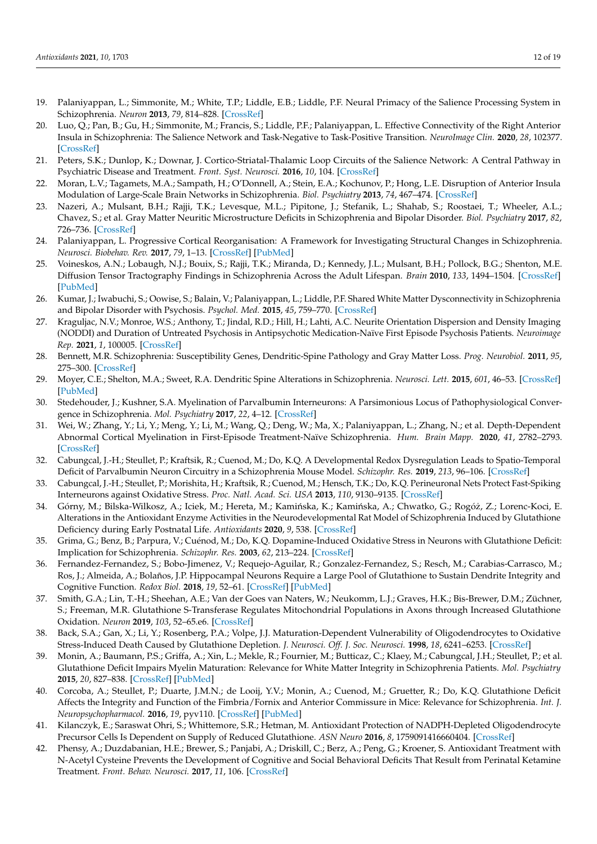- <span id="page-11-0"></span>19. Palaniyappan, L.; Simmonite, M.; White, T.P.; Liddle, E.B.; Liddle, P.F. Neural Primacy of the Salience Processing System in Schizophrenia. *Neuron* **2013**, *79*, 814–828. [\[CrossRef\]](http://doi.org/10.1016/j.neuron.2013.06.027)
- <span id="page-11-1"></span>20. Luo, Q.; Pan, B.; Gu, H.; Simmonite, M.; Francis, S.; Liddle, P.F.; Palaniyappan, L. Effective Connectivity of the Right Anterior Insula in Schizophrenia: The Salience Network and Task-Negative to Task-Positive Transition. *NeuroImage Clin.* **2020**, *28*, 102377. [\[CrossRef\]](http://doi.org/10.1016/j.nicl.2020.102377)
- 21. Peters, S.K.; Dunlop, K.; Downar, J. Cortico-Striatal-Thalamic Loop Circuits of the Salience Network: A Central Pathway in Psychiatric Disease and Treatment. *Front. Syst. Neurosci.* **2016**, *10*, 104. [\[CrossRef\]](http://doi.org/10.3389/fnsys.2016.00104)
- <span id="page-11-2"></span>22. Moran, L.V.; Tagamets, M.A.; Sampath, H.; O'Donnell, A.; Stein, E.A.; Kochunov, P.; Hong, L.E. Disruption of Anterior Insula Modulation of Large-Scale Brain Networks in Schizophrenia. *Biol. Psychiatry* **2013**, *74*, 467–474. [\[CrossRef\]](http://doi.org/10.1016/j.biopsych.2013.02.029)
- <span id="page-11-3"></span>23. Nazeri, A.; Mulsant, B.H.; Rajji, T.K.; Levesque, M.L.; Pipitone, J.; Stefanik, L.; Shahab, S.; Roostaei, T.; Wheeler, A.L.; Chavez, S.; et al. Gray Matter Neuritic Microstructure Deficits in Schizophrenia and Bipolar Disorder. *Biol. Psychiatry* **2017**, *82*, 726–736. [\[CrossRef\]](http://doi.org/10.1016/j.biopsych.2016.12.005)
- <span id="page-11-4"></span>24. Palaniyappan, L. Progressive Cortical Reorganisation: A Framework for Investigating Structural Changes in Schizophrenia. *Neurosci. Biobehav. Rev.* **2017**, *79*, 1–13. [\[CrossRef\]](http://doi.org/10.1016/j.neubiorev.2017.04.028) [\[PubMed\]](http://www.ncbi.nlm.nih.gov/pubmed/28501553)
- <span id="page-11-5"></span>25. Voineskos, A.N.; Lobaugh, N.J.; Bouix, S.; Rajji, T.K.; Miranda, D.; Kennedy, J.L.; Mulsant, B.H.; Pollock, B.G.; Shenton, M.E. Diffusion Tensor Tractography Findings in Schizophrenia Across the Adult Lifespan. *Brain* **2010**, *133*, 1494–1504. [\[CrossRef\]](http://doi.org/10.1093/brain/awq040) [\[PubMed\]](http://www.ncbi.nlm.nih.gov/pubmed/20237131)
- 26. Kumar, J.; Iwabuchi, S.; Oowise, S.; Balain, V.; Palaniyappan, L.; Liddle, P.F. Shared White Matter Dysconnectivity in Schizophrenia and Bipolar Disorder with Psychosis. *Psychol. Med.* **2015**, *45*, 759–770. [\[CrossRef\]](http://doi.org/10.1017/S0033291714001810)
- <span id="page-11-6"></span>27. Kraguljac, N.V.; Monroe, W.S.; Anthony, T.; Jindal, R.D.; Hill, H.; Lahti, A.C. Neurite Orientation Dispersion and Density Imaging (NODDI) and Duration of Untreated Psychosis in Antipsychotic Medication-Naïve First Episode Psychosis Patients. *Neuroimage Rep.* **2021**, *1*, 100005. [\[CrossRef\]](http://doi.org/10.1016/j.ynirp.2021.100005)
- <span id="page-11-7"></span>28. Bennett, M.R. Schizophrenia: Susceptibility Genes, Dendritic-Spine Pathology and Gray Matter Loss. *Prog. Neurobiol.* **2011**, *95*, 275–300. [\[CrossRef\]](http://doi.org/10.1016/j.pneurobio.2011.08.003)
- <span id="page-11-8"></span>29. Moyer, C.E.; Shelton, M.A.; Sweet, R.A. Dendritic Spine Alterations in Schizophrenia. *Neurosci. Lett.* **2015**, *601*, 46–53. [\[CrossRef\]](http://doi.org/10.1016/j.neulet.2014.11.042) [\[PubMed\]](http://www.ncbi.nlm.nih.gov/pubmed/25478958)
- <span id="page-11-9"></span>30. Stedehouder, J.; Kushner, S.A. Myelination of Parvalbumin Interneurons: A Parsimonious Locus of Pathophysiological Convergence in Schizophrenia. *Mol. Psychiatry* **2017**, *22*, 4–12. [\[CrossRef\]](http://doi.org/10.1038/mp.2016.147)
- <span id="page-11-10"></span>31. Wei, W.; Zhang, Y.; Li, Y.; Meng, Y.; Li, M.; Wang, Q.; Deng, W.; Ma, X.; Palaniyappan, L.; Zhang, N.; et al. Depth-Dependent Abnormal Cortical Myelination in First-Episode Treatment-Naïve Schizophrenia. *Hum. Brain Mapp.* **2020**, *41*, 2782–2793. [\[CrossRef\]](http://doi.org/10.1002/hbm.24977)
- <span id="page-11-11"></span>32. Cabungcal, J.-H.; Steullet, P.; Kraftsik, R.; Cuenod, M.; Do, K.Q. A Developmental Redox Dysregulation Leads to Spatio-Temporal Deficit of Parvalbumin Neuron Circuitry in a Schizophrenia Mouse Model. *Schizophr. Res.* **2019**, *213*, 96–106. [\[CrossRef\]](http://doi.org/10.1016/j.schres.2019.02.017)
- <span id="page-11-12"></span>33. Cabungcal, J.-H.; Steullet, P.; Morishita, H.; Kraftsik, R.; Cuenod, M.; Hensch, T.K.; Do, K.Q. Perineuronal Nets Protect Fast-Spiking Interneurons against Oxidative Stress. *Proc. Natl. Acad. Sci. USA* **2013**, *110*, 9130–9135. [\[CrossRef\]](http://doi.org/10.1073/pnas.1300454110)
- <span id="page-11-13"></span>34. Górny, M.; Bilska-Wilkosz, A.; Iciek, M.; Hereta, M.; Kamińska, K.; Kamińska, A.; Chwatko, G.; Rogóż, Z.; Lorenc-Koci, E. Alterations in the Antioxidant Enzyme Activities in the Neurodevelopmental Rat Model of Schizophrenia Induced by Glutathione Deficiency during Early Postnatal Life. *Antioxidants* **2020**, *9*, 538. [\[CrossRef\]](http://doi.org/10.3390/antiox9060538)
- <span id="page-11-14"></span>35. Grima, G.; Benz, B.; Parpura, V.; Cuénod, M.; Do, K.Q. Dopamine-Induced Oxidative Stress in Neurons with Glutathione Deficit: Implication for Schizophrenia. *Schizophr. Res.* **2003**, *62*, 213–224. [\[CrossRef\]](http://doi.org/10.1016/S0920-9964(02)00405-X)
- <span id="page-11-15"></span>36. Fernandez-Fernandez, S.; Bobo-Jimenez, V.; Requejo-Aguilar, R.; Gonzalez-Fernandez, S.; Resch, M.; Carabias-Carrasco, M.; Ros, J.; Almeida, A.; Bolaños, J.P. Hippocampal Neurons Require a Large Pool of Glutathione to Sustain Dendrite Integrity and Cognitive Function. *Redox Biol.* **2018**, *19*, 52–61. [\[CrossRef\]](http://doi.org/10.1016/j.redox.2018.08.003) [\[PubMed\]](http://www.ncbi.nlm.nih.gov/pubmed/30107295)
- <span id="page-11-16"></span>37. Smith, G.A.; Lin, T.-H.; Sheehan, A.E.; Van der Goes van Naters, W.; Neukomm, L.J.; Graves, H.K.; Bis-Brewer, D.M.; Züchner, S.; Freeman, M.R. Glutathione S-Transferase Regulates Mitochondrial Populations in Axons through Increased Glutathione Oxidation. *Neuron* **2019**, *103*, 52–65.e6. [\[CrossRef\]](http://doi.org/10.1016/j.neuron.2019.04.017)
- <span id="page-11-17"></span>38. Back, S.A.; Gan, X.; Li, Y.; Rosenberg, P.A.; Volpe, J.J. Maturation-Dependent Vulnerability of Oligodendrocytes to Oxidative Stress-Induced Death Caused by Glutathione Depletion. *J. Neurosci. Off. J. Soc. Neurosci.* **1998**, *18*, 6241–6253. [\[CrossRef\]](http://doi.org/10.1523/JNEUROSCI.18-16-06241.1998)
- <span id="page-11-20"></span>39. Monin, A.; Baumann, P.S.; Griffa, A.; Xin, L.; Mekle, R.; Fournier, M.; Butticaz, C.; Klaey, M.; Cabungcal, J.H.; Steullet, P.; et al. Glutathione Deficit Impairs Myelin Maturation: Relevance for White Matter Integrity in Schizophrenia Patients. *Mol. Psychiatry* **2015**, *20*, 827–838. [\[CrossRef\]](http://doi.org/10.1038/mp.2014.88) [\[PubMed\]](http://www.ncbi.nlm.nih.gov/pubmed/25155877)
- 40. Corcoba, A.; Steullet, P.; Duarte, J.M.N.; de Looij, Y.V.; Monin, A.; Cuenod, M.; Gruetter, R.; Do, K.Q. Glutathione Deficit Affects the Integrity and Function of the Fimbria/Fornix and Anterior Commissure in Mice: Relevance for Schizophrenia. *Int. J. Neuropsychopharmacol.* **2016**, *19*, pyv110. [\[CrossRef\]](http://doi.org/10.1093/ijnp/pyv110) [\[PubMed\]](http://www.ncbi.nlm.nih.gov/pubmed/26433393)
- <span id="page-11-18"></span>41. Kilanczyk, E.; Saraswat Ohri, S.; Whittemore, S.R.; Hetman, M. Antioxidant Protection of NADPH-Depleted Oligodendrocyte Precursor Cells Is Dependent on Supply of Reduced Glutathione. *ASN Neuro* **2016**, *8*, 1759091416660404. [\[CrossRef\]](http://doi.org/10.1177/1759091416660404)
- <span id="page-11-19"></span>42. Phensy, A.; Duzdabanian, H.E.; Brewer, S.; Panjabi, A.; Driskill, C.; Berz, A.; Peng, G.; Kroener, S. Antioxidant Treatment with N-Acetyl Cysteine Prevents the Development of Cognitive and Social Behavioral Deficits That Result from Perinatal Ketamine Treatment. *Front. Behav. Neurosci.* **2017**, *11*, 106. [\[CrossRef\]](http://doi.org/10.3389/fnbeh.2017.00106)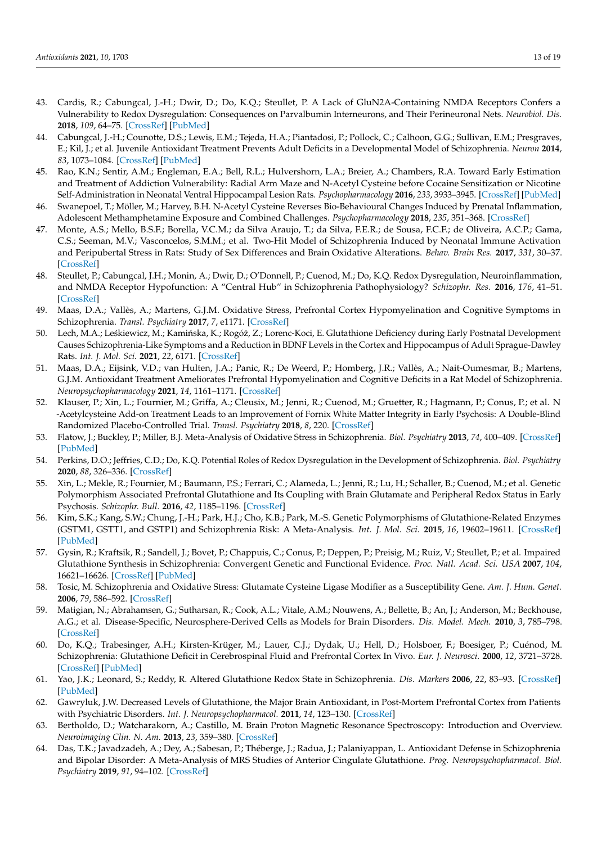- <span id="page-12-0"></span>43. Cardis, R.; Cabungcal, J.-H.; Dwir, D.; Do, K.Q.; Steullet, P. A Lack of GluN2A-Containing NMDA Receptors Confers a Vulnerability to Redox Dysregulation: Consequences on Parvalbumin Interneurons, and Their Perineuronal Nets. *Neurobiol. Dis.* **2018**, *109*, 64–75. [\[CrossRef\]](http://doi.org/10.1016/j.nbd.2017.10.006) [\[PubMed\]](http://www.ncbi.nlm.nih.gov/pubmed/29024713)
- <span id="page-12-1"></span>44. Cabungcal, J.-H.; Counotte, D.S.; Lewis, E.M.; Tejeda, H.A.; Piantadosi, P.; Pollock, C.; Calhoon, G.G.; Sullivan, E.M.; Presgraves, E.; Kil, J.; et al. Juvenile Antioxidant Treatment Prevents Adult Deficits in a Developmental Model of Schizophrenia. *Neuron* **2014**, *83*, 1073–1084. [\[CrossRef\]](http://doi.org/10.1016/j.neuron.2014.07.028) [\[PubMed\]](http://www.ncbi.nlm.nih.gov/pubmed/25132466)
- <span id="page-12-2"></span>45. Rao, K.N.; Sentir, A.M.; Engleman, E.A.; Bell, R.L.; Hulvershorn, L.A.; Breier, A.; Chambers, R.A. Toward Early Estimation and Treatment of Addiction Vulnerability: Radial Arm Maze and N-Acetyl Cysteine before Cocaine Sensitization or Nicotine Self-Administration in Neonatal Ventral Hippocampal Lesion Rats. *Psychopharmacology* **2016**, *233*, 3933–3945. [\[CrossRef\]](http://doi.org/10.1007/s00213-016-4421-8) [\[PubMed\]](http://www.ncbi.nlm.nih.gov/pubmed/27640177)
- <span id="page-12-3"></span>46. Swanepoel, T.; Möller, M.; Harvey, B.H. N-Acetyl Cysteine Reverses Bio-Behavioural Changes Induced by Prenatal Inflammation, Adolescent Methamphetamine Exposure and Combined Challenges. *Psychopharmacology* **2018**, *235*, 351–368. [\[CrossRef\]](http://doi.org/10.1007/s00213-017-4776-5)
- <span id="page-12-4"></span>47. Monte, A.S.; Mello, B.S.F.; Borella, V.C.M.; da Silva Araujo, T.; da Silva, F.E.R.; de Sousa, F.C.F.; de Oliveira, A.C.P.; Gama, C.S.; Seeman, M.V.; Vasconcelos, S.M.M.; et al. Two-Hit Model of Schizophrenia Induced by Neonatal Immune Activation and Peripubertal Stress in Rats: Study of Sex Differences and Brain Oxidative Alterations. *Behav. Brain Res.* **2017**, *331*, 30–37. [\[CrossRef\]](http://doi.org/10.1016/j.bbr.2017.04.057)
- <span id="page-12-5"></span>48. Steullet, P.; Cabungcal, J.H.; Monin, A.; Dwir, D.; O'Donnell, P.; Cuenod, M.; Do, K.Q. Redox Dysregulation, Neuroinflammation, and NMDA Receptor Hypofunction: A "Central Hub" in Schizophrenia Pathophysiology? *Schizophr. Res.* **2016**, *176*, 41–51. [\[CrossRef\]](http://doi.org/10.1016/j.schres.2014.06.021)
- <span id="page-12-6"></span>49. Maas, D.A.; Vallès, A.; Martens, G.J.M. Oxidative Stress, Prefrontal Cortex Hypomyelination and Cognitive Symptoms in Schizophrenia. *Transl. Psychiatry* **2017**, *7*, e1171. [\[CrossRef\]](http://doi.org/10.1038/tp.2017.138)
- <span id="page-12-7"></span>50. Lech, M.A.; Leśkiewicz, M.; Kamińska, K.; Rogóż, Z.; Lorenc-Koci, E. Glutathione Deficiency during Early Postnatal Development Causes Schizophrenia-Like Symptoms and a Reduction in BDNF Levels in the Cortex and Hippocampus of Adult Sprague-Dawley Rats. *Int. J. Mol. Sci.* **2021**, *22*, 6171. [\[CrossRef\]](http://doi.org/10.3390/ijms22126171)
- <span id="page-12-8"></span>51. Maas, D.A.; Eijsink, V.D.; van Hulten, J.A.; Panic, R.; De Weerd, P.; Homberg, J.R.; Vallès, A.; Nait-Oumesmar, B.; Martens, G.J.M. Antioxidant Treatment Ameliorates Prefrontal Hypomyelination and Cognitive Deficits in a Rat Model of Schizophrenia. *Neuropsychopharmacology* **2021**, *14*, 1161–1171. [\[CrossRef\]](http://doi.org/10.1038/s41386-021-00964-0)
- <span id="page-12-9"></span>52. Klauser, P.; Xin, L.; Fournier, M.; Griffa, A.; Cleusix, M.; Jenni, R.; Cuenod, M.; Gruetter, R.; Hagmann, P.; Conus, P.; et al. N -Acetylcysteine Add-on Treatment Leads to an Improvement of Fornix White Matter Integrity in Early Psychosis: A Double-Blind Randomized Placebo-Controlled Trial. *Transl. Psychiatry* **2018**, *8*, 220. [\[CrossRef\]](http://doi.org/10.1038/s41398-018-0266-8)
- <span id="page-12-10"></span>53. Flatow, J.; Buckley, P.; Miller, B.J. Meta-Analysis of Oxidative Stress in Schizophrenia. *Biol. Psychiatry* **2013**, *74*, 400–409. [\[CrossRef\]](http://doi.org/10.1016/j.biopsych.2013.03.018) [\[PubMed\]](http://www.ncbi.nlm.nih.gov/pubmed/23683390)
- <span id="page-12-11"></span>54. Perkins, D.O.; Jeffries, C.D.; Do, K.Q. Potential Roles of Redox Dysregulation in the Development of Schizophrenia. *Biol. Psychiatry* **2020**, *88*, 326–336. [\[CrossRef\]](http://doi.org/10.1016/j.biopsych.2020.03.016)
- <span id="page-12-12"></span>55. Xin, L.; Mekle, R.; Fournier, M.; Baumann, P.S.; Ferrari, C.; Alameda, L.; Jenni, R.; Lu, H.; Schaller, B.; Cuenod, M.; et al. Genetic Polymorphism Associated Prefrontal Glutathione and Its Coupling with Brain Glutamate and Peripheral Redox Status in Early Psychosis. *Schizophr. Bull.* **2016**, *42*, 1185–1196. [\[CrossRef\]](http://doi.org/10.1093/schbul/sbw038)
- <span id="page-12-13"></span>56. Kim, S.K.; Kang, S.W.; Chung, J.-H.; Park, H.J.; Cho, K.B.; Park, M.-S. Genetic Polymorphisms of Glutathione-Related Enzymes (GSTM1, GSTT1, and GSTP1) and Schizophrenia Risk: A Meta-Analysis. *Int. J. Mol. Sci.* **2015**, *16*, 19602–19611. [\[CrossRef\]](http://doi.org/10.3390/ijms160819602) [\[PubMed\]](http://www.ncbi.nlm.nih.gov/pubmed/26295386)
- <span id="page-12-14"></span>57. Gysin, R.; Kraftsik, R.; Sandell, J.; Bovet, P.; Chappuis, C.; Conus, P.; Deppen, P.; Preisig, M.; Ruiz, V.; Steullet, P.; et al. Impaired Glutathione Synthesis in Schizophrenia: Convergent Genetic and Functional Evidence. *Proc. Natl. Acad. Sci. USA* **2007**, *104*, 16621–16626. [\[CrossRef\]](http://doi.org/10.1073/pnas.0706778104) [\[PubMed\]](http://www.ncbi.nlm.nih.gov/pubmed/17921251)
- 58. Tosic, M. Schizophrenia and Oxidative Stress: Glutamate Cysteine Ligase Modifier as a Susceptibility Gene. *Am. J. Hum. Genet.* **2006**, *79*, 586–592. [\[CrossRef\]](http://doi.org/10.1086/507566)
- <span id="page-12-15"></span>59. Matigian, N.; Abrahamsen, G.; Sutharsan, R.; Cook, A.L.; Vitale, A.M.; Nouwens, A.; Bellette, B.; An, J.; Anderson, M.; Beckhouse, A.G.; et al. Disease-Specific, Neurosphere-Derived Cells as Models for Brain Disorders. *Dis. Model. Mech.* **2010**, *3*, 785–798. [\[CrossRef\]](http://doi.org/10.1242/dmm.005447)
- <span id="page-12-16"></span>60. Do, K.Q.; Trabesinger, A.H.; Kirsten-Krüger, M.; Lauer, C.J.; Dydak, U.; Hell, D.; Holsboer, F.; Boesiger, P.; Cuénod, M. Schizophrenia: Glutathione Deficit in Cerebrospinal Fluid and Prefrontal Cortex In Vivo. *Eur. J. Neurosci.* **2000**, *12*, 3721–3728. [\[CrossRef\]](http://doi.org/10.1046/j.1460-9568.2000.00229.x) [\[PubMed\]](http://www.ncbi.nlm.nih.gov/pubmed/11029642)
- 61. Yao, J.K.; Leonard, S.; Reddy, R. Altered Glutathione Redox State in Schizophrenia. *Dis. Markers* **2006**, *22*, 83–93. [\[CrossRef\]](http://doi.org/10.1155/2006/248387) [\[PubMed\]](http://www.ncbi.nlm.nih.gov/pubmed/16410648)
- <span id="page-12-17"></span>62. Gawryluk, J.W. Decreased Levels of Glutathione, the Major Brain Antioxidant, in Post-Mortem Prefrontal Cortex from Patients with Psychiatric Disorders. *Int. J. Neuropsychopharmacol.* **2011**, *14*, 123–130. [\[CrossRef\]](http://doi.org/10.1017/S1461145710000805)
- <span id="page-12-18"></span>63. Bertholdo, D.; Watcharakorn, A.; Castillo, M. Brain Proton Magnetic Resonance Spectroscopy: Introduction and Overview. *Neuroimaging Clin. N. Am.* **2013**, *23*, 359–380. [\[CrossRef\]](http://doi.org/10.1016/j.nic.2012.10.002)
- <span id="page-12-19"></span>64. Das, T.K.; Javadzadeh, A.; Dey, A.; Sabesan, P.; Théberge, J.; Radua, J.; Palaniyappan, L. Antioxidant Defense in Schizophrenia and Bipolar Disorder: A Meta-Analysis of MRS Studies of Anterior Cingulate Glutathione. *Prog. Neuropsychopharmacol. Biol. Psychiatry* **2019**, *91*, 94–102. [\[CrossRef\]](http://doi.org/10.1016/j.pnpbp.2018.08.006)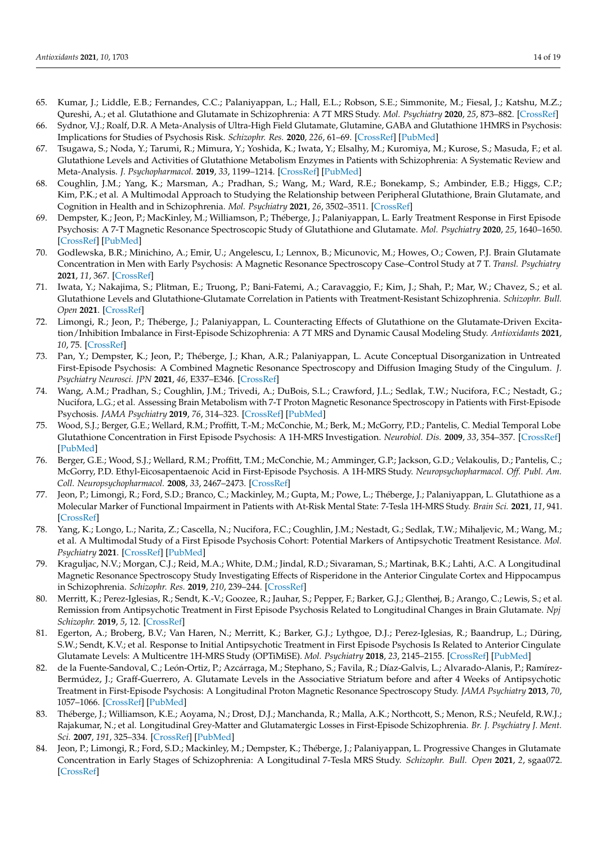- <span id="page-13-0"></span>65. Kumar, J.; Liddle, E.B.; Fernandes, C.C.; Palaniyappan, L.; Hall, E.L.; Robson, S.E.; Simmonite, M.; Fiesal, J.; Katshu, M.Z.; Qureshi, A.; et al. Glutathione and Glutamate in Schizophrenia: A 7T MRS Study. *Mol. Psychiatry* **2020**, *25*, 873–882. [\[CrossRef\]](http://doi.org/10.1038/s41380-018-0104-7)
- <span id="page-13-1"></span>66. Sydnor, V.J.; Roalf, D.R. A Meta-Analysis of Ultra-High Field Glutamate, Glutamine, GABA and Glutathione 1HMRS in Psychosis: Implications for Studies of Psychosis Risk. *Schizophr. Res.* **2020**, *226*, 61–69. [\[CrossRef\]](http://doi.org/10.1016/j.schres.2020.06.028) [\[PubMed\]](http://www.ncbi.nlm.nih.gov/pubmed/32723493)
- <span id="page-13-2"></span>67. Tsugawa, S.; Noda, Y.; Tarumi, R.; Mimura, Y.; Yoshida, K.; Iwata, Y.; Elsalhy, M.; Kuromiya, M.; Kurose, S.; Masuda, F.; et al. Glutathione Levels and Activities of Glutathione Metabolism Enzymes in Patients with Schizophrenia: A Systematic Review and Meta-Analysis. *J. Psychopharmacol.* **2019**, *33*, 1199–1214. [\[CrossRef\]](http://doi.org/10.1177/0269881119845820) [\[PubMed\]](http://www.ncbi.nlm.nih.gov/pubmed/31039654)
- <span id="page-13-3"></span>68. Coughlin, J.M.; Yang, K.; Marsman, A.; Pradhan, S.; Wang, M.; Ward, R.E.; Bonekamp, S.; Ambinder, E.B.; Higgs, C.P.; Kim, P.K.; et al. A Multimodal Approach to Studying the Relationship between Peripheral Glutathione, Brain Glutamate, and Cognition in Health and in Schizophrenia. *Mol. Psychiatry* **2021**, *26*, 3502–3511. [\[CrossRef\]](http://doi.org/10.1038/s41380-020-00901-5)
- <span id="page-13-10"></span>69. Dempster, K.; Jeon, P.; MacKinley, M.; Williamson, P.; Théberge, J.; Palaniyappan, L. Early Treatment Response in First Episode Psychosis: A 7-T Magnetic Resonance Spectroscopic Study of Glutathione and Glutamate. *Mol. Psychiatry* **2020**, *25*, 1640–1650. [\[CrossRef\]](http://doi.org/10.1038/s41380-020-0704-x) [\[PubMed\]](http://www.ncbi.nlm.nih.gov/pubmed/32205866)
- 70. Godlewska, B.R.; Minichino, A.; Emir, U.; Angelescu, I.; Lennox, B.; Micunovic, M.; Howes, O.; Cowen, P.J. Brain Glutamate Concentration in Men with Early Psychosis: A Magnetic Resonance Spectroscopy Case–Control Study at 7 T. *Transl. Psychiatry* **2021**, *11*, 367. [\[CrossRef\]](http://doi.org/10.1038/s41398-021-01477-6)
- <span id="page-13-7"></span>71. Iwata, Y.; Nakajima, S.; Plitman, E.; Truong, P.; Bani-Fatemi, A.; Caravaggio, F.; Kim, J.; Shah, P.; Mar, W.; Chavez, S.; et al. Glutathione Levels and Glutathione-Glutamate Correlation in Patients with Treatment-Resistant Schizophrenia. *Schizophr. Bull. Open* **2021**. [\[CrossRef\]](http://doi.org/10.1093/schizbullopen/sgab006)
- <span id="page-13-5"></span>72. Limongi, R.; Jeon, P.; Théberge, J.; Palaniyappan, L. Counteracting Effects of Glutathione on the Glutamate-Driven Excitation/Inhibition Imbalance in First-Episode Schizophrenia: A 7T MRS and Dynamic Causal Modeling Study. *Antioxidants* **2021**, *10*, 75. [\[CrossRef\]](http://doi.org/10.3390/antiox10010075)
- <span id="page-13-6"></span>73. Pan, Y.; Dempster, K.; Jeon, P.; Théberge, J.; Khan, A.R.; Palaniyappan, L. Acute Conceptual Disorganization in Untreated First-Episode Psychosis: A Combined Magnetic Resonance Spectroscopy and Diffusion Imaging Study of the Cingulum. *J. Psychiatry Neurosci. JPN* **2021**, *46*, E337–E346. [\[CrossRef\]](http://doi.org/10.1503/jpn.200167)
- <span id="page-13-4"></span>74. Wang, A.M.; Pradhan, S.; Coughlin, J.M.; Trivedi, A.; DuBois, S.L.; Crawford, J.L.; Sedlak, T.W.; Nucifora, F.C.; Nestadt, G.; Nucifora, L.G.; et al. Assessing Brain Metabolism with 7-T Proton Magnetic Resonance Spectroscopy in Patients with First-Episode Psychosis. *JAMA Psychiatry* **2019**, *76*, 314–323. [\[CrossRef\]](http://doi.org/10.1001/jamapsychiatry.2018.3637) [\[PubMed\]](http://www.ncbi.nlm.nih.gov/pubmed/30624573)
- <span id="page-13-8"></span>75. Wood, S.J.; Berger, G.E.; Wellard, R.M.; Proffitt, T.-M.; McConchie, M.; Berk, M.; McGorry, P.D.; Pantelis, C. Medial Temporal Lobe Glutathione Concentration in First Episode Psychosis: A 1H-MRS Investigation. *Neurobiol. Dis.* **2009**, *33*, 354–357. [\[CrossRef\]](http://doi.org/10.1016/j.nbd.2008.11.018) [\[PubMed\]](http://www.ncbi.nlm.nih.gov/pubmed/19118629)
- <span id="page-13-9"></span>76. Berger, G.E.; Wood, S.J.; Wellard, R.M.; Proffitt, T.M.; McConchie, M.; Amminger, G.P.; Jackson, G.D.; Velakoulis, D.; Pantelis, C.; McGorry, P.D. Ethyl-Eicosapentaenoic Acid in First-Episode Psychosis. A 1H-MRS Study. *Neuropsychopharmacol. Off. Publ. Am. Coll. Neuropsychopharmacol.* **2008**, *33*, 2467–2473. [\[CrossRef\]](http://doi.org/10.1038/sj.npp.1301628)
- <span id="page-13-11"></span>77. Jeon, P.; Limongi, R.; Ford, S.D.; Branco, C.; Mackinley, M.; Gupta, M.; Powe, L.; Théberge, J.; Palaniyappan, L. Glutathione as a Molecular Marker of Functional Impairment in Patients with At-Risk Mental State: 7-Tesla 1H-MRS Study. *Brain Sci.* **2021**, *11*, 941. [\[CrossRef\]](http://doi.org/10.3390/brainsci11070941)
- <span id="page-13-12"></span>78. Yang, K.; Longo, L.; Narita, Z.; Cascella, N.; Nucifora, F.C.; Coughlin, J.M.; Nestadt, G.; Sedlak, T.W.; Mihaljevic, M.; Wang, M.; et al. A Multimodal Study of a First Episode Psychosis Cohort: Potential Markers of Antipsychotic Treatment Resistance. *Mol. Psychiatry* **2021**. [\[CrossRef\]](http://doi.org/10.1038/s41380-021-01331-7) [\[PubMed\]](http://www.ncbi.nlm.nih.gov/pubmed/34642460)
- <span id="page-13-13"></span>79. Kraguljac, N.V.; Morgan, C.J.; Reid, M.A.; White, D.M.; Jindal, R.D.; Sivaraman, S.; Martinak, B.K.; Lahti, A.C. A Longitudinal Magnetic Resonance Spectroscopy Study Investigating Effects of Risperidone in the Anterior Cingulate Cortex and Hippocampus in Schizophrenia. *Schizophr. Res.* **2019**, *210*, 239–244. [\[CrossRef\]](http://doi.org/10.1016/j.schres.2018.12.028)
- 80. Merritt, K.; Perez-Iglesias, R.; Sendt, K.-V.; Goozee, R.; Jauhar, S.; Pepper, F.; Barker, G.J.; Glenthøj, B.; Arango, C.; Lewis, S.; et al. Remission from Antipsychotic Treatment in First Episode Psychosis Related to Longitudinal Changes in Brain Glutamate. *Npj Schizophr.* **2019**, *5*, 12. [\[CrossRef\]](http://doi.org/10.1038/s41537-019-0080-1)
- <span id="page-13-16"></span>81. Egerton, A.; Broberg, B.V.; Van Haren, N.; Merritt, K.; Barker, G.J.; Lythgoe, D.J.; Perez-Iglesias, R.; Baandrup, L.; Düring, S.W.; Sendt, K.V.; et al. Response to Initial Antipsychotic Treatment in First Episode Psychosis Is Related to Anterior Cingulate Glutamate Levels: A Multicentre 1H-MRS Study (OPTiMiSE). *Mol. Psychiatry* **2018**, *23*, 2145–2155. [\[CrossRef\]](http://doi.org/10.1038/s41380-018-0082-9) [\[PubMed\]](http://www.ncbi.nlm.nih.gov/pubmed/29880882)
- 82. de la Fuente-Sandoval, C.; León-Ortiz, P.; Azcárraga, M.; Stephano, S.; Favila, R.; Díaz-Galvis, L.; Alvarado-Alanis, P.; Ramírez-Bermúdez, J.; Graff-Guerrero, A. Glutamate Levels in the Associative Striatum before and after 4 Weeks of Antipsychotic Treatment in First-Episode Psychosis: A Longitudinal Proton Magnetic Resonance Spectroscopy Study. *JAMA Psychiatry* **2013**, *70*, 1057–1066. [\[CrossRef\]](http://doi.org/10.1001/jamapsychiatry.2013.289) [\[PubMed\]](http://www.ncbi.nlm.nih.gov/pubmed/23966023)
- <span id="page-13-14"></span>83. Théberge, J.; Williamson, K.E.; Aoyama, N.; Drost, D.J.; Manchanda, R.; Malla, A.K.; Northcott, S.; Menon, R.S.; Neufeld, R.W.J.; Rajakumar, N.; et al. Longitudinal Grey-Matter and Glutamatergic Losses in First-Episode Schizophrenia. *Br. J. Psychiatry J. Ment. Sci.* **2007**, *191*, 325–334. [\[CrossRef\]](http://doi.org/10.1192/bjp.bp.106.033670) [\[PubMed\]](http://www.ncbi.nlm.nih.gov/pubmed/17906243)
- <span id="page-13-15"></span>84. Jeon, P.; Limongi, R.; Ford, S.D.; Mackinley, M.; Dempster, K.; Théberge, J.; Palaniyappan, L. Progressive Changes in Glutamate Concentration in Early Stages of Schizophrenia: A Longitudinal 7-Tesla MRS Study. *Schizophr. Bull. Open* **2021**, *2*, sgaa072. [\[CrossRef\]](http://doi.org/10.1093/schizbullopen/sgaa072)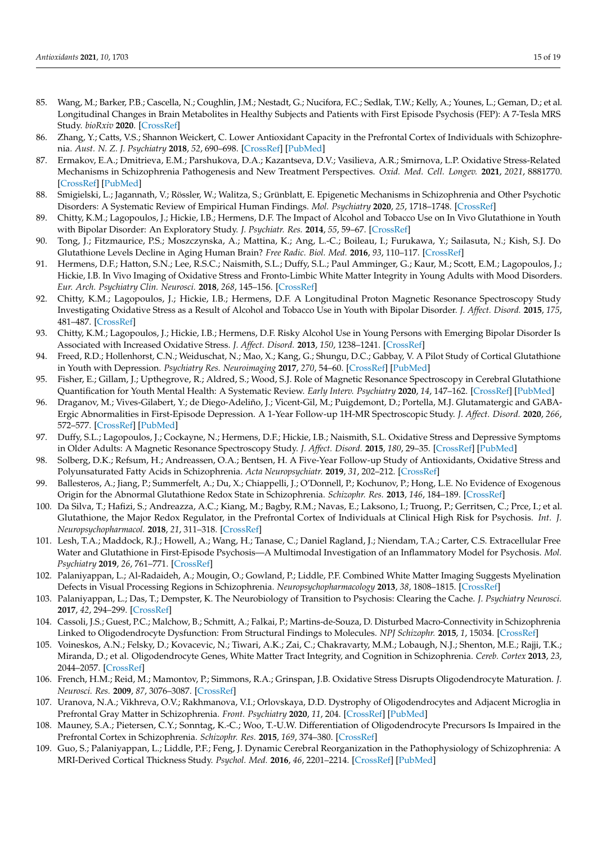- <span id="page-14-0"></span>85. Wang, M.; Barker, P.B.; Cascella, N.; Coughlin, J.M.; Nestadt, G.; Nucifora, F.C.; Sedlak, T.W.; Kelly, A.; Younes, L.; Geman, D.; et al. Longitudinal Changes in Brain Metabolites in Healthy Subjects and Patients with First Episode Psychosis (FEP): A 7-Tesla MRS Study. *bioRxiv* **2020**. [\[CrossRef\]](http://doi.org/10.1101/2020.08.25.267419)
- <span id="page-14-1"></span>86. Zhang, Y.; Catts, V.S.; Shannon Weickert, C. Lower Antioxidant Capacity in the Prefrontal Cortex of Individuals with Schizophrenia. *Aust. N. Z. J. Psychiatry* **2018**, *52*, 690–698. [\[CrossRef\]](http://doi.org/10.1177/0004867417728805) [\[PubMed\]](http://www.ncbi.nlm.nih.gov/pubmed/28891319)
- <span id="page-14-2"></span>87. Ermakov, E.A.; Dmitrieva, E.M.; Parshukova, D.A.; Kazantseva, D.V.; Vasilieva, A.R.; Smirnova, L.P. Oxidative Stress-Related Mechanisms in Schizophrenia Pathogenesis and New Treatment Perspectives. *Oxid. Med. Cell. Longev.* **2021**, *2021*, 8881770. [\[CrossRef\]](http://doi.org/10.1155/2021/8881770) [\[PubMed\]](http://www.ncbi.nlm.nih.gov/pubmed/33552387)
- <span id="page-14-3"></span>88. Smigielski, L.; Jagannath, V.; Rössler, W.; Walitza, S.; Grünblatt, E. Epigenetic Mechanisms in Schizophrenia and Other Psychotic Disorders: A Systematic Review of Empirical Human Findings. *Mol. Psychiatry* **2020**, *25*, 1718–1748. [\[CrossRef\]](http://doi.org/10.1038/s41380-019-0601-3)
- <span id="page-14-4"></span>89. Chitty, K.M.; Lagopoulos, J.; Hickie, I.B.; Hermens, D.F. The Impact of Alcohol and Tobacco Use on In Vivo Glutathione in Youth with Bipolar Disorder: An Exploratory Study. *J. Psychiatr. Res.* **2014**, *55*, 59–67. [\[CrossRef\]](http://doi.org/10.1016/j.jpsychires.2014.03.024)
- <span id="page-14-5"></span>90. Tong, J.; Fitzmaurice, P.S.; Moszczynska, A.; Mattina, K.; Ang, L.-C.; Boileau, I.; Furukawa, Y.; Sailasuta, N.; Kish, S.J. Do Glutathione Levels Decline in Aging Human Brain? *Free Radic. Biol. Med.* **2016**, *93*, 110–117. [\[CrossRef\]](http://doi.org/10.1016/j.freeradbiomed.2016.01.029)
- <span id="page-14-6"></span>91. Hermens, D.F.; Hatton, S.N.; Lee, R.S.C.; Naismith, S.L.; Duffy, S.L.; Paul Amminger, G.; Kaur, M.; Scott, E.M.; Lagopoulos, J.; Hickie, I.B. In Vivo Imaging of Oxidative Stress and Fronto-Limbic White Matter Integrity in Young Adults with Mood Disorders. *Eur. Arch. Psychiatry Clin. Neurosci.* **2018**, *268*, 145–156. [\[CrossRef\]](http://doi.org/10.1007/s00406-017-0788-8)
- <span id="page-14-7"></span>92. Chitty, K.M.; Lagopoulos, J.; Hickie, I.B.; Hermens, D.F. A Longitudinal Proton Magnetic Resonance Spectroscopy Study Investigating Oxidative Stress as a Result of Alcohol and Tobacco Use in Youth with Bipolar Disorder. *J. Affect. Disord.* **2015**, *175*, 481–487. [\[CrossRef\]](http://doi.org/10.1016/j.jad.2015.01.021)
- <span id="page-14-8"></span>93. Chitty, K.M.; Lagopoulos, J.; Hickie, I.B.; Hermens, D.F. Risky Alcohol Use in Young Persons with Emerging Bipolar Disorder Is Associated with Increased Oxidative Stress. *J. Affect. Disord.* **2013**, *150*, 1238–1241. [\[CrossRef\]](http://doi.org/10.1016/j.jad.2013.06.003)
- <span id="page-14-9"></span>94. Freed, R.D.; Hollenhorst, C.N.; Weiduschat, N.; Mao, X.; Kang, G.; Shungu, D.C.; Gabbay, V. A Pilot Study of Cortical Glutathione in Youth with Depression. *Psychiatry Res. Neuroimaging* **2017**, *270*, 54–60. [\[CrossRef\]](http://doi.org/10.1016/j.pscychresns.2017.10.001) [\[PubMed\]](http://www.ncbi.nlm.nih.gov/pubmed/29078101)
- <span id="page-14-10"></span>95. Fisher, E.; Gillam, J.; Upthegrove, R.; Aldred, S.; Wood, S.J. Role of Magnetic Resonance Spectroscopy in Cerebral Glutathione Quantification for Youth Mental Health: A Systematic Review. *Early Interv. Psychiatry* **2020**, *14*, 147–162. [\[CrossRef\]](http://doi.org/10.1111/eip.12833) [\[PubMed\]](http://www.ncbi.nlm.nih.gov/pubmed/31148383)
- <span id="page-14-11"></span>96. Draganov, M.; Vives-Gilabert, Y.; de Diego-Adeliño, J.; Vicent-Gil, M.; Puigdemont, D.; Portella, M.J. Glutamatergic and GABA-Ergic Abnormalities in First-Episode Depression. A 1-Year Follow-up 1H-MR Spectroscopic Study. *J. Affect. Disord.* **2020**, *266*, 572–577. [\[CrossRef\]](http://doi.org/10.1016/j.jad.2020.01.138) [\[PubMed\]](http://www.ncbi.nlm.nih.gov/pubmed/32056929)
- <span id="page-14-12"></span>97. Duffy, S.L.; Lagopoulos, J.; Cockayne, N.; Hermens, D.F.; Hickie, I.B.; Naismith, S.L. Oxidative Stress and Depressive Symptoms in Older Adults: A Magnetic Resonance Spectroscopy Study. *J. Affect. Disord.* **2015**, *180*, 29–35. [\[CrossRef\]](http://doi.org/10.1016/j.jad.2015.03.007) [\[PubMed\]](http://www.ncbi.nlm.nih.gov/pubmed/25881278)
- <span id="page-14-13"></span>98. Solberg, D.K.; Refsum, H.; Andreassen, O.A.; Bentsen, H. A Five-Year Follow-up Study of Antioxidants, Oxidative Stress and Polyunsaturated Fatty Acids in Schizophrenia. *Acta Neuropsychiatr.* **2019**, *31*, 202–212. [\[CrossRef\]](http://doi.org/10.1017/neu.2019.14)
- <span id="page-14-14"></span>99. Ballesteros, A.; Jiang, P.; Summerfelt, A.; Du, X.; Chiappelli, J.; O'Donnell, P.; Kochunov, P.; Hong, L.E. No Evidence of Exogenous Origin for the Abnormal Glutathione Redox State in Schizophrenia. *Schizophr. Res.* **2013**, *146*, 184–189. [\[CrossRef\]](http://doi.org/10.1016/j.schres.2013.02.001)
- <span id="page-14-15"></span>100. Da Silva, T.; Hafizi, S.; Andreazza, A.C.; Kiang, M.; Bagby, R.M.; Navas, E.; Laksono, I.; Truong, P.; Gerritsen, C.; Prce, I.; et al. Glutathione, the Major Redox Regulator, in the Prefrontal Cortex of Individuals at Clinical High Risk for Psychosis. *Int. J. Neuropsychopharmacol.* **2018**, *21*, 311–318. [\[CrossRef\]](http://doi.org/10.1093/ijnp/pyx094)
- <span id="page-14-16"></span>101. Lesh, T.A.; Maddock, R.J.; Howell, A.; Wang, H.; Tanase, C.; Daniel Ragland, J.; Niendam, T.A.; Carter, C.S. Extracellular Free Water and Glutathione in First-Episode Psychosis—A Multimodal Investigation of an Inflammatory Model for Psychosis. *Mol. Psychiatry* **2019**, *26*, 761–771. [\[CrossRef\]](http://doi.org/10.1038/s41380-019-0428-y)
- <span id="page-14-17"></span>102. Palaniyappan, L.; Al-Radaideh, A.; Mougin, O.; Gowland, P.; Liddle, P.F. Combined White Matter Imaging Suggests Myelination Defects in Visual Processing Regions in Schizophrenia. *Neuropsychopharmacology* **2013**, *38*, 1808–1815. [\[CrossRef\]](http://doi.org/10.1038/npp.2013.80)
- <span id="page-14-18"></span>103. Palaniyappan, L.; Das, T.; Dempster, K. The Neurobiology of Transition to Psychosis: Clearing the Cache. *J. Psychiatry Neurosci.* **2017**, *42*, 294–299. [\[CrossRef\]](http://doi.org/10.1503/jpn.170137)
- <span id="page-14-19"></span>104. Cassoli, J.S.; Guest, P.C.; Malchow, B.; Schmitt, A.; Falkai, P.; Martins-de-Souza, D. Disturbed Macro-Connectivity in Schizophrenia Linked to Oligodendrocyte Dysfunction: From Structural Findings to Molecules. *NPJ Schizophr.* **2015**, *1*, 15034. [\[CrossRef\]](http://doi.org/10.1038/npjschz.2015.34)
- <span id="page-14-20"></span>105. Voineskos, A.N.; Felsky, D.; Kovacevic, N.; Tiwari, A.K.; Zai, C.; Chakravarty, M.M.; Lobaugh, N.J.; Shenton, M.E.; Rajji, T.K.; Miranda, D.; et al. Oligodendrocyte Genes, White Matter Tract Integrity, and Cognition in Schizophrenia. *Cereb. Cortex* **2013**, *23*, 2044–2057. [\[CrossRef\]](http://doi.org/10.1093/cercor/bhs188)
- <span id="page-14-21"></span>106. French, H.M.; Reid, M.; Mamontov, P.; Simmons, R.A.; Grinspan, J.B. Oxidative Stress Disrupts Oligodendrocyte Maturation. *J. Neurosci. Res.* **2009**, *87*, 3076–3087. [\[CrossRef\]](http://doi.org/10.1002/jnr.22139)
- 107. Uranova, N.A.; Vikhreva, O.V.; Rakhmanova, V.I.; Orlovskaya, D.D. Dystrophy of Oligodendrocytes and Adjacent Microglia in Prefrontal Gray Matter in Schizophrenia. *Front. Psychiatry* **2020**, *11*, 204. [\[CrossRef\]](http://doi.org/10.3389/fpsyt.2020.00204) [\[PubMed\]](http://www.ncbi.nlm.nih.gov/pubmed/32292358)
- <span id="page-14-22"></span>108. Mauney, S.A.; Pietersen, C.Y.; Sonntag, K.-C.; Woo, T.-U.W. Differentiation of Oligodendrocyte Precursors Is Impaired in the Prefrontal Cortex in Schizophrenia. *Schizophr. Res.* **2015**, *169*, 374–380. [\[CrossRef\]](http://doi.org/10.1016/j.schres.2015.10.042)
- <span id="page-14-23"></span>109. Guo, S.; Palaniyappan, L.; Liddle, P.F.; Feng, J. Dynamic Cerebral Reorganization in the Pathophysiology of Schizophrenia: A MRI-Derived Cortical Thickness Study. *Psychol. Med.* **2016**, *46*, 2201–2214. [\[CrossRef\]](http://doi.org/10.1017/S0033291716000994) [\[PubMed\]](http://www.ncbi.nlm.nih.gov/pubmed/27228263)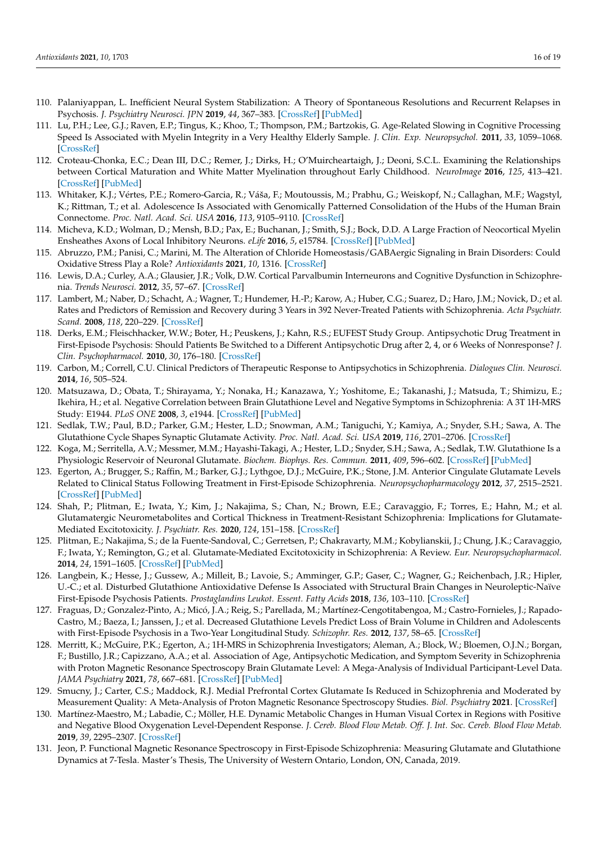- <span id="page-15-0"></span>110. Palaniyappan, L. Inefficient Neural System Stabilization: A Theory of Spontaneous Resolutions and Recurrent Relapses in Psychosis. *J. Psychiatry Neurosci. JPN* **2019**, *44*, 367–383. [\[CrossRef\]](http://doi.org/10.1503/jpn.180038) [\[PubMed\]](http://www.ncbi.nlm.nih.gov/pubmed/31245961)
- <span id="page-15-1"></span>111. Lu, P.H.; Lee, G.J.; Raven, E.P.; Tingus, K.; Khoo, T.; Thompson, P.M.; Bartzokis, G. Age-Related Slowing in Cognitive Processing Speed Is Associated with Myelin Integrity in a Very Healthy Elderly Sample. *J. Clin. Exp. Neuropsychol.* **2011**, *33*, 1059–1068. [\[CrossRef\]](http://doi.org/10.1080/13803395.2011.595397)
- 112. Croteau-Chonka, E.C.; Dean III, D.C.; Remer, J.; Dirks, H.; O'Muircheartaigh, J.; Deoni, S.C.L. Examining the Relationships between Cortical Maturation and White Matter Myelination throughout Early Childhood. *NeuroImage* **2016**, *125*, 413–421. [\[CrossRef\]](http://doi.org/10.1016/j.neuroimage.2015.10.038) [\[PubMed\]](http://www.ncbi.nlm.nih.gov/pubmed/26499814)
- <span id="page-15-2"></span>113. Whitaker, K.J.; Vértes, P.E.; Romero-Garcia, R.; Váša, F.; Moutoussis, M.; Prabhu, G.; Weiskopf, N.; Callaghan, M.F.; Wagstyl, K.; Rittman, T.; et al. Adolescence Is Associated with Genomically Patterned Consolidation of the Hubs of the Human Brain Connectome. *Proc. Natl. Acad. Sci. USA* **2016**, *113*, 9105–9110. [\[CrossRef\]](http://doi.org/10.1073/pnas.1601745113)
- <span id="page-15-3"></span>114. Micheva, K.D.; Wolman, D.; Mensh, B.D.; Pax, E.; Buchanan, J.; Smith, S.J.; Bock, D.D. A Large Fraction of Neocortical Myelin Ensheathes Axons of Local Inhibitory Neurons. *eLife* **2016**, *5*, e15784. [\[CrossRef\]](http://doi.org/10.7554/eLife.15784) [\[PubMed\]](http://www.ncbi.nlm.nih.gov/pubmed/27383052)
- <span id="page-15-4"></span>115. Abruzzo, P.M.; Panisi, C.; Marini, M. The Alteration of Chloride Homeostasis/GABAergic Signaling in Brain Disorders: Could Oxidative Stress Play a Role? *Antioxidants* **2021**, *10*, 1316. [\[CrossRef\]](http://doi.org/10.3390/antiox10081316)
- <span id="page-15-5"></span>116. Lewis, D.A.; Curley, A.A.; Glausier, J.R.; Volk, D.W. Cortical Parvalbumin Interneurons and Cognitive Dysfunction in Schizophrenia. *Trends Neurosci.* **2012**, *35*, 57–67. [\[CrossRef\]](http://doi.org/10.1016/j.tins.2011.10.004)
- <span id="page-15-6"></span>117. Lambert, M.; Naber, D.; Schacht, A.; Wagner, T.; Hundemer, H.-P.; Karow, A.; Huber, C.G.; Suarez, D.; Haro, J.M.; Novick, D.; et al. Rates and Predictors of Remission and Recovery during 3 Years in 392 Never-Treated Patients with Schizophrenia. *Acta Psychiatr. Scand.* **2008**, *118*, 220–229. [\[CrossRef\]](http://doi.org/10.1111/j.1600-0447.2008.01213.x)
- 118. Derks, E.M.; Fleischhacker, W.W.; Boter, H.; Peuskens, J.; Kahn, R.S.; EUFEST Study Group. Antipsychotic Drug Treatment in First-Episode Psychosis: Should Patients Be Switched to a Different Antipsychotic Drug after 2, 4, or 6 Weeks of Nonresponse? *J. Clin. Psychopharmacol.* **2010**, *30*, 176–180. [\[CrossRef\]](http://doi.org/10.1097/JCP.0b013e3181d2193c)
- <span id="page-15-7"></span>119. Carbon, M.; Correll, C.U. Clinical Predictors of Therapeutic Response to Antipsychotics in Schizophrenia. *Dialogues Clin. Neurosci.* **2014**, *16*, 505–524.
- <span id="page-15-8"></span>120. Matsuzawa, D.; Obata, T.; Shirayama, Y.; Nonaka, H.; Kanazawa, Y.; Yoshitome, E.; Takanashi, J.; Matsuda, T.; Shimizu, E.; Ikehira, H.; et al. Negative Correlation between Brain Glutathione Level and Negative Symptoms in Schizophrenia: A 3T 1H-MRS Study: E1944. *PLoS ONE* **2008**, *3*, e1944. [\[CrossRef\]](http://doi.org/10.1371/journal.pone.0001944) [\[PubMed\]](http://www.ncbi.nlm.nih.gov/pubmed/18398470)
- <span id="page-15-9"></span>121. Sedlak, T.W.; Paul, B.D.; Parker, G.M.; Hester, L.D.; Snowman, A.M.; Taniguchi, Y.; Kamiya, A.; Snyder, S.H.; Sawa, A. The Glutathione Cycle Shapes Synaptic Glutamate Activity. *Proc. Natl. Acad. Sci. USA* **2019**, *116*, 2701–2706. [\[CrossRef\]](http://doi.org/10.1073/pnas.1817885116)
- <span id="page-15-10"></span>122. Koga, M.; Serritella, A.V.; Messmer, M.M.; Hayashi-Takagi, A.; Hester, L.D.; Snyder, S.H.; Sawa, A.; Sedlak, T.W. Glutathione Is a Physiologic Reservoir of Neuronal Glutamate. *Biochem. Biophys. Res. Commun.* **2011**, *409*, 596–602. [\[CrossRef\]](http://doi.org/10.1016/j.bbrc.2011.04.087) [\[PubMed\]](http://www.ncbi.nlm.nih.gov/pubmed/21539809)
- <span id="page-15-11"></span>123. Egerton, A.; Brugger, S.; Raffin, M.; Barker, G.J.; Lythgoe, D.J.; McGuire, P.K.; Stone, J.M. Anterior Cingulate Glutamate Levels Related to Clinical Status Following Treatment in First-Episode Schizophrenia. *Neuropsychopharmacology* **2012**, *37*, 2515–2521. [\[CrossRef\]](http://doi.org/10.1038/npp.2012.113) [\[PubMed\]](http://www.ncbi.nlm.nih.gov/pubmed/22763619)
- <span id="page-15-12"></span>124. Shah, P.; Plitman, E.; Iwata, Y.; Kim, J.; Nakajima, S.; Chan, N.; Brown, E.E.; Caravaggio, F.; Torres, E.; Hahn, M.; et al. Glutamatergic Neurometabolites and Cortical Thickness in Treatment-Resistant Schizophrenia: Implications for Glutamate-Mediated Excitotoxicity. *J. Psychiatr. Res.* **2020**, *124*, 151–158. [\[CrossRef\]](http://doi.org/10.1016/j.jpsychires.2020.02.032)
- <span id="page-15-13"></span>125. Plitman, E.; Nakajima, S.; de la Fuente-Sandoval, C.; Gerretsen, P.; Chakravarty, M.M.; Kobylianskii, J.; Chung, J.K.; Caravaggio, F.; Iwata, Y.; Remington, G.; et al. Glutamate-Mediated Excitotoxicity in Schizophrenia: A Review. *Eur. Neuropsychopharmacol.* **2014**, *24*, 1591–1605. [\[CrossRef\]](http://doi.org/10.1016/j.euroneuro.2014.07.015) [\[PubMed\]](http://www.ncbi.nlm.nih.gov/pubmed/25159198)
- <span id="page-15-14"></span>126. Langbein, K.; Hesse, J.; Gussew, A.; Milleit, B.; Lavoie, S.; Amminger, G.P.; Gaser, C.; Wagner, G.; Reichenbach, J.R.; Hipler, U.-C.; et al. Disturbed Glutathione Antioxidative Defense Is Associated with Structural Brain Changes in Neuroleptic-Naïve First-Episode Psychosis Patients. *Prostaglandins Leukot. Essent. Fatty Acids* **2018**, *136*, 103–110. [\[CrossRef\]](http://doi.org/10.1016/j.plefa.2017.10.005)
- <span id="page-15-15"></span>127. Fraguas, D.; Gonzalez-Pinto, A.; Micó, J.A.; Reig, S.; Parellada, M.; Martínez-Cengotitabengoa, M.; Castro-Fornieles, J.; Rapado-Castro, M.; Baeza, I.; Janssen, J.; et al. Decreased Glutathione Levels Predict Loss of Brain Volume in Children and Adolescents with First-Episode Psychosis in a Two-Year Longitudinal Study. *Schizophr. Res.* **2012**, *137*, 58–65. [\[CrossRef\]](http://doi.org/10.1016/j.schres.2012.01.040)
- <span id="page-15-16"></span>128. Merritt, K.; McGuire, P.K.; Egerton, A.; 1H-MRS in Schizophrenia Investigators; Aleman, A.; Block, W.; Bloemen, O.J.N.; Borgan, F.; Bustillo, J.R.; Capizzano, A.A.; et al. Association of Age, Antipsychotic Medication, and Symptom Severity in Schizophrenia with Proton Magnetic Resonance Spectroscopy Brain Glutamate Level: A Mega-Analysis of Individual Participant-Level Data. *JAMA Psychiatry* **2021**, *78*, 667–681. [\[CrossRef\]](http://doi.org/10.1001/jamapsychiatry.2021.0380) [\[PubMed\]](http://www.ncbi.nlm.nih.gov/pubmed/33881460)
- <span id="page-15-17"></span>129. Smucny, J.; Carter, C.S.; Maddock, R.J. Medial Prefrontal Cortex Glutamate Is Reduced in Schizophrenia and Moderated by Measurement Quality: A Meta-Analysis of Proton Magnetic Resonance Spectroscopy Studies. *Biol. Psychiatry* **2021**. [\[CrossRef\]](http://doi.org/10.1016/j.biopsych.2021.06.008)
- <span id="page-15-18"></span>130. Martínez-Maestro, M.; Labadie, C.; Möller, H.E. Dynamic Metabolic Changes in Human Visual Cortex in Regions with Positive and Negative Blood Oxygenation Level-Dependent Response. *J. Cereb. Blood Flow Metab. Off. J. Int. Soc. Cereb. Blood Flow Metab.* **2019**, *39*, 2295–2307. [\[CrossRef\]](http://doi.org/10.1177/0271678X18795426)
- 131. Jeon, P. Functional Magnetic Resonance Spectroscopy in First-Episode Schizophrenia: Measuring Glutamate and Glutathione Dynamics at 7-Tesla. Master's Thesis, The University of Western Ontario, London, ON, Canada, 2019.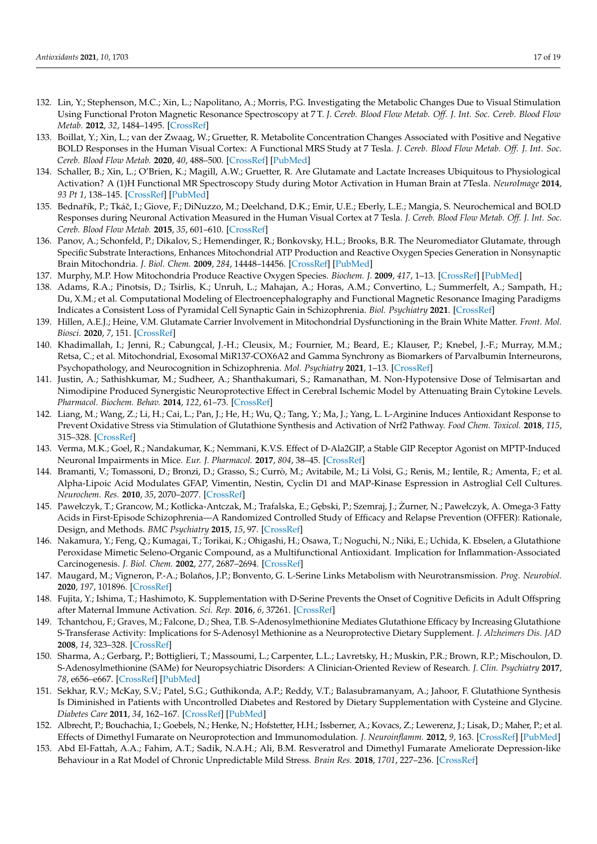- <span id="page-16-0"></span>132. Lin, Y.; Stephenson, M.C.; Xin, L.; Napolitano, A.; Morris, P.G. Investigating the Metabolic Changes Due to Visual Stimulation Using Functional Proton Magnetic Resonance Spectroscopy at 7 T. *J. Cereb. Blood Flow Metab. Off. J. Int. Soc. Cereb. Blood Flow Metab.* **2012**, *32*, 1484–1495. [\[CrossRef\]](http://doi.org/10.1038/jcbfm.2012.33)
- <span id="page-16-1"></span>133. Boillat, Y.; Xin, L.; van der Zwaag, W.; Gruetter, R. Metabolite Concentration Changes Associated with Positive and Negative BOLD Responses in the Human Visual Cortex: A Functional MRS Study at 7 Tesla. *J. Cereb. Blood Flow Metab. Off. J. Int. Soc. Cereb. Blood Flow Metab.* **2020**, *40*, 488–500. [\[CrossRef\]](http://doi.org/10.1177/0271678X19831022) [\[PubMed\]](http://www.ncbi.nlm.nih.gov/pubmed/30755134)
- 134. Schaller, B.; Xin, L.; O'Brien, K.; Magill, A.W.; Gruetter, R. Are Glutamate and Lactate Increases Ubiquitous to Physiological Activation? A (1)H Functional MR Spectroscopy Study during Motor Activation in Human Brain at 7Tesla. *NeuroImage* **2014**, *93 Pt 1*, 138–145. [\[CrossRef\]](http://doi.org/10.1016/j.neuroimage.2014.02.016) [\[PubMed\]](http://www.ncbi.nlm.nih.gov/pubmed/24555953)
- <span id="page-16-2"></span>135. Bednařík, P.; Tkáč, I.; Giove, F.; DiNuzzo, M.; Deelchand, D.K.; Emir, U.E.; Eberly, L.E.; Mangia, S. Neurochemical and BOLD Responses during Neuronal Activation Measured in the Human Visual Cortex at 7 Tesla. *J. Cereb. Blood Flow Metab. Off. J. Int. Soc. Cereb. Blood Flow Metab.* **2015**, *35*, 601–610. [\[CrossRef\]](http://doi.org/10.1038/jcbfm.2014.233)
- <span id="page-16-3"></span>136. Panov, A.; Schonfeld, P.; Dikalov, S.; Hemendinger, R.; Bonkovsky, H.L.; Brooks, B.R. The Neuromediator Glutamate, through Specific Substrate Interactions, Enhances Mitochondrial ATP Production and Reactive Oxygen Species Generation in Nonsynaptic Brain Mitochondria. *J. Biol. Chem.* **2009**, *284*, 14448–14456. [\[CrossRef\]](http://doi.org/10.1074/jbc.M900985200) [\[PubMed\]](http://www.ncbi.nlm.nih.gov/pubmed/19304986)
- <span id="page-16-4"></span>137. Murphy, M.P. How Mitochondria Produce Reactive Oxygen Species. *Biochem. J.* **2009**, *417*, 1–13. [\[CrossRef\]](http://doi.org/10.1042/BJ20081386) [\[PubMed\]](http://www.ncbi.nlm.nih.gov/pubmed/19061483)
- <span id="page-16-5"></span>138. Adams, R.A.; Pinotsis, D.; Tsirlis, K.; Unruh, L.; Mahajan, A.; Horas, A.M.; Convertino, L.; Summerfelt, A.; Sampath, H.; Du, X.M.; et al. Computational Modeling of Electroencephalography and Functional Magnetic Resonance Imaging Paradigms Indicates a Consistent Loss of Pyramidal Cell Synaptic Gain in Schizophrenia. *Biol. Psychiatry* **2021**. [\[CrossRef\]](http://doi.org/10.1016/j.biopsych.2021.07.024)
- <span id="page-16-6"></span>139. Hillen, A.E.J.; Heine, V.M. Glutamate Carrier Involvement in Mitochondrial Dysfunctioning in the Brain White Matter. *Front. Mol. Biosci.* **2020**, *7*, 151. [\[CrossRef\]](http://doi.org/10.3389/fmolb.2020.00151)
- <span id="page-16-7"></span>140. Khadimallah, I.; Jenni, R.; Cabungcal, J.-H.; Cleusix, M.; Fournier, M.; Beard, E.; Klauser, P.; Knebel, J.-F.; Murray, M.M.; Retsa, C.; et al. Mitochondrial, Exosomal MiR137-COX6A2 and Gamma Synchrony as Biomarkers of Parvalbumin Interneurons, Psychopathology, and Neurocognition in Schizophrenia. *Mol. Psychiatry* **2021**, 1–13. [\[CrossRef\]](http://doi.org/10.1038/s41380-021-01313-9)
- <span id="page-16-8"></span>141. Justin, A.; Sathishkumar, M.; Sudheer, A.; Shanthakumari, S.; Ramanathan, M. Non-Hypotensive Dose of Telmisartan and Nimodipine Produced Synergistic Neuroprotective Effect in Cerebral Ischemic Model by Attenuating Brain Cytokine Levels. *Pharmacol. Biochem. Behav.* **2014**, *122*, 61–73. [\[CrossRef\]](http://doi.org/10.1016/j.pbb.2014.03.009)
- <span id="page-16-13"></span>142. Liang, M.; Wang, Z.; Li, H.; Cai, L.; Pan, J.; He, H.; Wu, Q.; Tang, Y.; Ma, J.; Yang, L. L-Arginine Induces Antioxidant Response to Prevent Oxidative Stress via Stimulation of Glutathione Synthesis and Activation of Nrf2 Pathway. *Food Chem. Toxicol.* **2018**, *115*, 315–328. [\[CrossRef\]](http://doi.org/10.1016/j.fct.2018.03.029)
- <span id="page-16-11"></span>143. Verma, M.K.; Goel, R.; Nandakumar, K.; Nemmani, K.V.S. Effect of D-Ala2GIP, a Stable GIP Receptor Agonist on MPTP-Induced Neuronal Impairments in Mice. *Eur. J. Pharmacol.* **2017**, *804*, 38–45. [\[CrossRef\]](http://doi.org/10.1016/j.ejphar.2017.03.059)
- <span id="page-16-12"></span>144. Bramanti, V.; Tomassoni, D.; Bronzi, D.; Grasso, S.; Currò, M.; Avitabile, M.; Li Volsi, G.; Renis, M.; Ientile, R.; Amenta, F.; et al. Alpha-Lipoic Acid Modulates GFAP, Vimentin, Nestin, Cyclin D1 and MAP-Kinase Espression in Astroglial Cell Cultures. *Neurochem. Res.* **2010**, *35*, 2070–2077. [\[CrossRef\]](http://doi.org/10.1007/s11064-010-0256-6)
- <span id="page-16-10"></span>145. Pawełczyk, T.; Grancow, M.; Kotlicka-Antczak, M.; Trafalska, E.; Gębski, P.; Szemraj, J.; Żurner, N.; Pawełczyk, A. Omega-3 Fatty Acids in First-Episode Schizophrenia—A Randomized Controlled Study of Efficacy and Relapse Prevention (OFFER): Rationale, Design, and Methods. *BMC Psychiatry* **2015**, *15*, 97. [\[CrossRef\]](http://doi.org/10.1186/s12888-015-0473-2)
- <span id="page-16-9"></span>146. Nakamura, Y.; Feng, Q.; Kumagai, T.; Torikai, K.; Ohigashi, H.; Osawa, T.; Noguchi, N.; Niki, E.; Uchida, K. Ebselen, a Glutathione Peroxidase Mimetic Seleno-Organic Compound, as a Multifunctional Antioxidant. Implication for Inflammation-Associated Carcinogenesis. *J. Biol. Chem.* **2002**, *277*, 2687–2694. [\[CrossRef\]](http://doi.org/10.1074/jbc.M109641200)
- <span id="page-16-16"></span>147. Maugard, M.; Vigneron, P.-A.; Bolaños, J.P.; Bonvento, G. L-Serine Links Metabolism with Neurotransmission. *Prog. Neurobiol.* **2020**, *197*, 101896. [\[CrossRef\]](http://doi.org/10.1016/j.pneurobio.2020.101896)
- <span id="page-16-17"></span>148. Fujita, Y.; Ishima, T.; Hashimoto, K. Supplementation with D-Serine Prevents the Onset of Cognitive Deficits in Adult Offspring after Maternal Immune Activation. *Sci. Rep.* **2016**, *6*, 37261. [\[CrossRef\]](http://doi.org/10.1038/srep37261)
- <span id="page-16-14"></span>149. Tchantchou, F.; Graves, M.; Falcone, D.; Shea, T.B. S-Adenosylmethionine Mediates Glutathione Efficacy by Increasing Glutathione S-Transferase Activity: Implications for S-Adenosyl Methionine as a Neuroprotective Dietary Supplement. *J. Alzheimers Dis. JAD* **2008**, *14*, 323–328. [\[CrossRef\]](http://doi.org/10.3233/JAD-2008-14306)
- <span id="page-16-15"></span>150. Sharma, A.; Gerbarg, P.; Bottiglieri, T.; Massoumi, L.; Carpenter, L.L.; Lavretsky, H.; Muskin, P.R.; Brown, R.P.; Mischoulon, D. S-Adenosylmethionine (SAMe) for Neuropsychiatric Disorders: A Clinician-Oriented Review of Research. *J. Clin. Psychiatry* **2017**, *78*, e656–e667. [\[CrossRef\]](http://doi.org/10.4088/JCP.16r11113) [\[PubMed\]](http://www.ncbi.nlm.nih.gov/pubmed/28682528)
- 151. Sekhar, R.V.; McKay, S.V.; Patel, S.G.; Guthikonda, A.P.; Reddy, V.T.; Balasubramanyam, A.; Jahoor, F. Glutathione Synthesis Is Diminished in Patients with Uncontrolled Diabetes and Restored by Dietary Supplementation with Cysteine and Glycine. *Diabetes Care* **2011**, *34*, 162–167. [\[CrossRef\]](http://doi.org/10.2337/dc10-1006) [\[PubMed\]](http://www.ncbi.nlm.nih.gov/pubmed/20929994)
- <span id="page-16-18"></span>152. Albrecht, P.; Bouchachia, I.; Goebels, N.; Henke, N.; Hofstetter, H.H.; Issberner, A.; Kovacs, Z.; Lewerenz, J.; Lisak, D.; Maher, P.; et al. Effects of Dimethyl Fumarate on Neuroprotection and Immunomodulation. *J. Neuroinflamm.* **2012**, *9*, 163. [\[CrossRef\]](http://doi.org/10.1186/1742-2094-9-163) [\[PubMed\]](http://www.ncbi.nlm.nih.gov/pubmed/22769044)
- <span id="page-16-19"></span>153. Abd El-Fattah, A.A.; Fahim, A.T.; Sadik, N.A.H.; Ali, B.M. Resveratrol and Dimethyl Fumarate Ameliorate Depression-like Behaviour in a Rat Model of Chronic Unpredictable Mild Stress. *Brain Res.* **2018**, *1701*, 227–236. [\[CrossRef\]](http://doi.org/10.1016/j.brainres.2018.09.027)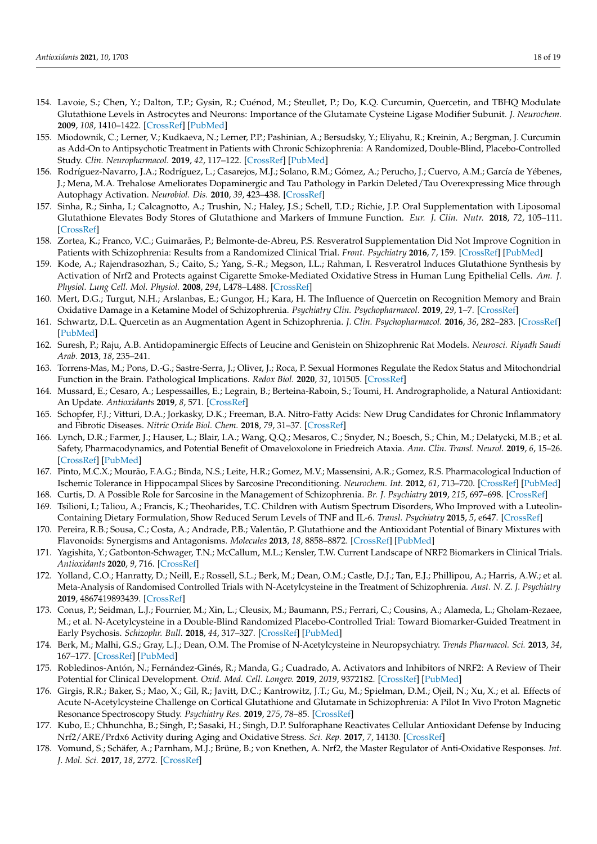- <span id="page-17-4"></span>154. Lavoie, S.; Chen, Y.; Dalton, T.P.; Gysin, R.; Cuénod, M.; Steullet, P.; Do, K.Q. Curcumin, Quercetin, and TBHQ Modulate Glutathione Levels in Astrocytes and Neurons: Importance of the Glutamate Cysteine Ligase Modifier Subunit. *J. Neurochem.* **2009**, *108*, 1410–1422. [\[CrossRef\]](http://doi.org/10.1111/j.1471-4159.2009.05908.x) [\[PubMed\]](http://www.ncbi.nlm.nih.gov/pubmed/19183254)
- <span id="page-17-5"></span>155. Miodownik, C.; Lerner, V.; Kudkaeva, N.; Lerner, P.P.; Pashinian, A.; Bersudsky, Y.; Eliyahu, R.; Kreinin, A.; Bergman, J. Curcumin as Add-On to Antipsychotic Treatment in Patients with Chronic Schizophrenia: A Randomized, Double-Blind, Placebo-Controlled Study. *Clin. Neuropharmacol.* **2019**, *42*, 117–122. [\[CrossRef\]](http://doi.org/10.1097/WNF.0000000000000344) [\[PubMed\]](http://www.ncbi.nlm.nih.gov/pubmed/31045590)
- <span id="page-17-21"></span>156. Rodríguez-Navarro, J.A.; Rodríguez, L.; Casarejos, M.J.; Solano, R.M.; Gómez, A.; Perucho, J.; Cuervo, A.M.; García de Yébenes, J.; Mena, M.A. Trehalose Ameliorates Dopaminergic and Tau Pathology in Parkin Deleted/Tau Overexpressing Mice through Autophagy Activation. *Neurobiol. Dis.* **2010**, *39*, 423–438. [\[CrossRef\]](http://doi.org/10.1016/j.nbd.2010.05.014)
- <span id="page-17-6"></span>157. Sinha, R.; Sinha, I.; Calcagnotto, A.; Trushin, N.; Haley, J.S.; Schell, T.D.; Richie, J.P. Oral Supplementation with Liposomal Glutathione Elevates Body Stores of Glutathione and Markers of Immune Function. *Eur. J. Clin. Nutr.* **2018**, *72*, 105–111. [\[CrossRef\]](http://doi.org/10.1038/ejcn.2017.132)
- <span id="page-17-7"></span>158. Zortea, K.; Franco, V.C.; Guimarães, P.; Belmonte-de-Abreu, P.S. Resveratrol Supplementation Did Not Improve Cognition in Patients with Schizophrenia: Results from a Randomized Clinical Trial. *Front. Psychiatry* **2016**, *7*, 159. [\[CrossRef\]](http://doi.org/10.3389/fpsyt.2016.00159) [\[PubMed\]](http://www.ncbi.nlm.nih.gov/pubmed/27695423)
- <span id="page-17-8"></span>159. Kode, A.; Rajendrasozhan, S.; Caito, S.; Yang, S.-R.; Megson, I.L.; Rahman, I. Resveratrol Induces Glutathione Synthesis by Activation of Nrf2 and Protects against Cigarette Smoke-Mediated Oxidative Stress in Human Lung Epithelial Cells. *Am. J. Physiol. Lung Cell. Mol. Physiol.* **2008**, *294*, L478–L488. [\[CrossRef\]](http://doi.org/10.1152/ajplung.00361.2007)
- <span id="page-17-9"></span>160. Mert, D.G.; Turgut, N.H.; Arslanbas, E.; Gungor, H.; Kara, H. The Influence of Quercetin on Recognition Memory and Brain Oxidative Damage in a Ketamine Model of Schizophrenia. *Psychiatry Clin. Psychopharmacol.* **2019**, *29*, 1–7. [\[CrossRef\]](http://doi.org/10.1080/24750573.2018.1442670)
- <span id="page-17-10"></span>161. Schwartz, D.L. Quercetin as an Augmentation Agent in Schizophrenia. *J. Clin. Psychopharmacol.* **2016**, *36*, 282–283. [\[CrossRef\]](http://doi.org/10.1097/JCP.0000000000000498) [\[PubMed\]](http://www.ncbi.nlm.nih.gov/pubmed/27035495)
- <span id="page-17-11"></span>162. Suresh, P.; Raju, A.B. Antidopaminergic Effects of Leucine and Genistein on Shizophrenic Rat Models. *Neurosci. Riyadh Saudi Arab.* **2013**, *18*, 235–241.
- <span id="page-17-12"></span>163. Torrens-Mas, M.; Pons, D.-G.; Sastre-Serra, J.; Oliver, J.; Roca, P. Sexual Hormones Regulate the Redox Status and Mitochondrial Function in the Brain. Pathological Implications. *Redox Biol.* **2020**, *31*, 101505. [\[CrossRef\]](http://doi.org/10.1016/j.redox.2020.101505)
- <span id="page-17-13"></span>164. Mussard, E.; Cesaro, A.; Lespessailles, E.; Legrain, B.; Berteina-Raboin, S.; Toumi, H. Andrographolide, a Natural Antioxidant: An Update. *Antioxidants* **2019**, *8*, 571. [\[CrossRef\]](http://doi.org/10.3390/antiox8120571)
- <span id="page-17-14"></span>165. Schopfer, F.J.; Vitturi, D.A.; Jorkasky, D.K.; Freeman, B.A. Nitro-Fatty Acids: New Drug Candidates for Chronic Inflammatory and Fibrotic Diseases. *Nitric Oxide Biol. Chem.* **2018**, *79*, 31–37. [\[CrossRef\]](http://doi.org/10.1016/j.niox.2018.06.006)
- <span id="page-17-15"></span>166. Lynch, D.R.; Farmer, J.; Hauser, L.; Blair, I.A.; Wang, Q.Q.; Mesaros, C.; Snyder, N.; Boesch, S.; Chin, M.; Delatycki, M.B.; et al. Safety, Pharmacodynamics, and Potential Benefit of Omaveloxolone in Friedreich Ataxia. *Ann. Clin. Transl. Neurol.* **2019**, *6*, 15–26. [\[CrossRef\]](http://doi.org/10.1002/acn3.660) [\[PubMed\]](http://www.ncbi.nlm.nih.gov/pubmed/30656180)
- <span id="page-17-16"></span>167. Pinto, M.C.X.; Mourão, F.A.G.; Binda, N.S.; Leite, H.R.; Gomez, M.V.; Massensini, A.R.; Gomez, R.S. Pharmacological Induction of Ischemic Tolerance in Hippocampal Slices by Sarcosine Preconditioning. *Neurochem. Int.* **2012**, *61*, 713–720. [\[CrossRef\]](http://doi.org/10.1016/j.neuint.2012.06.018) [\[PubMed\]](http://www.ncbi.nlm.nih.gov/pubmed/22750492)
- <span id="page-17-17"></span>168. Curtis, D. A Possible Role for Sarcosine in the Management of Schizophrenia. *Br. J. Psychiatry* **2019**, *215*, 697–698. [\[CrossRef\]](http://doi.org/10.1192/bjp.2019.194)
- <span id="page-17-19"></span>169. Tsilioni, I.; Taliou, A.; Francis, K.; Theoharides, T.C. Children with Autism Spectrum Disorders, Who Improved with a Luteolin-Containing Dietary Formulation, Show Reduced Serum Levels of TNF and IL-6. *Transl. Psychiatry* **2015**, *5*, e647. [\[CrossRef\]](http://doi.org/10.1038/tp.2015.142)
- <span id="page-17-20"></span>170. Pereira, R.B.; Sousa, C.; Costa, A.; Andrade, P.B.; Valentão, P. Glutathione and the Antioxidant Potential of Binary Mixtures with Flavonoids: Synergisms and Antagonisms. *Molecules* **2013**, *18*, 8858–8872. [\[CrossRef\]](http://doi.org/10.3390/molecules18088858) [\[PubMed\]](http://www.ncbi.nlm.nih.gov/pubmed/23892632)
- <span id="page-17-0"></span>171. Yagishita, Y.; Gatbonton-Schwager, T.N.; McCallum, M.L.; Kensler, T.W. Current Landscape of NRF2 Biomarkers in Clinical Trials. *Antioxidants* **2020**, *9*, 716. [\[CrossRef\]](http://doi.org/10.3390/antiox9080716)
- <span id="page-17-1"></span>172. Yolland, C.O.; Hanratty, D.; Neill, E.; Rossell, S.L.; Berk, M.; Dean, O.M.; Castle, D.J.; Tan, E.J.; Phillipou, A.; Harris, A.W.; et al. Meta-Analysis of Randomised Controlled Trials with N-Acetylcysteine in the Treatment of Schizophrenia. *Aust. N. Z. J. Psychiatry* **2019**, 4867419893439. [\[CrossRef\]](http://doi.org/10.1177/0004867419893439)
- <span id="page-17-2"></span>173. Conus, P.; Seidman, L.J.; Fournier, M.; Xin, L.; Cleusix, M.; Baumann, P.S.; Ferrari, C.; Cousins, A.; Alameda, L.; Gholam-Rezaee, M.; et al. N-Acetylcysteine in a Double-Blind Randomized Placebo-Controlled Trial: Toward Biomarker-Guided Treatment in Early Psychosis. *Schizophr. Bull.* **2018**, *44*, 317–327. [\[CrossRef\]](http://doi.org/10.1093/schbul/sbx093) [\[PubMed\]](http://www.ncbi.nlm.nih.gov/pubmed/29462456)
- <span id="page-17-3"></span>174. Berk, M.; Malhi, G.S.; Gray, L.J.; Dean, O.M. The Promise of N-Acetylcysteine in Neuropsychiatry. *Trends Pharmacol. Sci.* **2013**, *34*, 167–177. [\[CrossRef\]](http://doi.org/10.1016/j.tips.2013.01.001) [\[PubMed\]](http://www.ncbi.nlm.nih.gov/pubmed/23369637)
- <span id="page-17-18"></span>175. Robledinos-Antón, N.; Fernández-Ginés, R.; Manda, G.; Cuadrado, A. Activators and Inhibitors of NRF2: A Review of Their Potential for Clinical Development. *Oxid. Med. Cell. Longev.* **2019**, *2019*, 9372182. [\[CrossRef\]](http://doi.org/10.1155/2019/9372182) [\[PubMed\]](http://www.ncbi.nlm.nih.gov/pubmed/31396308)
- <span id="page-17-22"></span>176. Girgis, R.R.; Baker, S.; Mao, X.; Gil, R.; Javitt, D.C.; Kantrowitz, J.T.; Gu, M.; Spielman, D.M.; Ojeil, N.; Xu, X.; et al. Effects of Acute N-Acetylcysteine Challenge on Cortical Glutathione and Glutamate in Schizophrenia: A Pilot In Vivo Proton Magnetic Resonance Spectroscopy Study. *Psychiatry Res.* **2019**, *275*, 78–85. [\[CrossRef\]](http://doi.org/10.1016/j.psychres.2019.03.018)
- <span id="page-17-23"></span>177. Kubo, E.; Chhunchha, B.; Singh, P.; Sasaki, H.; Singh, D.P. Sulforaphane Reactivates Cellular Antioxidant Defense by Inducing Nrf2/ARE/Prdx6 Activity during Aging and Oxidative Stress. *Sci. Rep.* **2017**, *7*, 14130. [\[CrossRef\]](http://doi.org/10.1038/s41598-017-14520-8)
- <span id="page-17-24"></span>178. Vomund, S.; Schäfer, A.; Parnham, M.J.; Brüne, B.; von Knethen, A. Nrf2, the Master Regulator of Anti-Oxidative Responses. *Int. J. Mol. Sci.* **2017**, *18*, 2772. [\[CrossRef\]](http://doi.org/10.3390/ijms18122772)